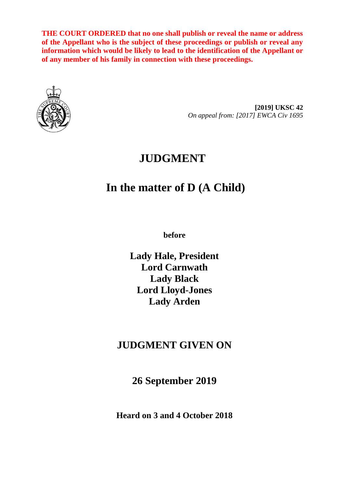**THE COURT ORDERED that no one shall publish or reveal the name or address of the Appellant who is the subject of these proceedings or publish or reveal any information which would be likely to lead to the identification of the Appellant or of any member of his family in connection with these proceedings.**



**[2019] UKSC 42** *On appeal from: [2017] EWCA Civ 1695*

## **JUDGMENT**

# **In the matter of D (A Child)**

**before** 

**Lady Hale, President Lord Carnwath Lady Black Lord Lloyd-Jones Lady Arden**

## **JUDGMENT GIVEN ON**

**26 September 2019**

**Heard on 3 and 4 October 2018**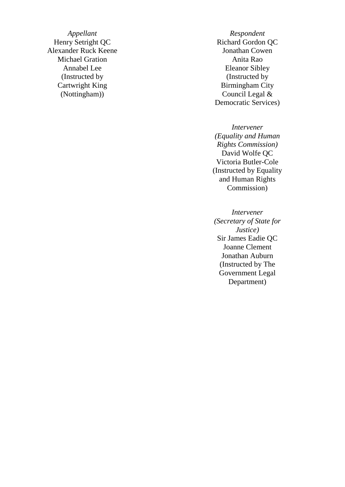*Appellant Respondent*<br> **Respondent**<br> **Richard Gordon** Alexander Ruck Keene Jonathan Cowen Michael Gration **Anita Rao** (Instructed by Cartwright King (Nottingham))

Richard Gordon QC Annabel Lee Eleanor Sibley (Instructed by Birmingham City Council Legal & Democratic Services)

> *Intervener (Equality and Human Rights Commission)* David Wolfe QC Victoria Butler -Cole (Instructed by Equality and Human Rights Commission)

*Intervener (Secretary of State for Justice)* Sir James Eadie QC Joanne Clement Jonathan Auburn (Instructed by The Government Legal Department)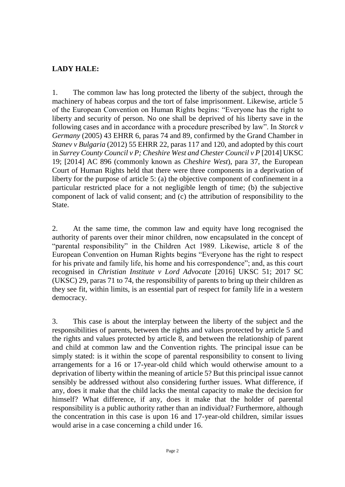## **LADY HALE:**

1. The common law has long protected the liberty of the subject, through the machinery of habeas corpus and the tort of false imprisonment. Likewise, article 5 of the European Convention on Human Rights begins: "Everyone has the right to liberty and security of person. No one shall be deprived of his liberty save in the following cases and in accordance with a procedure prescribed by law". In *Storck v Germany* (2005) 43 EHRR 6, paras 74 and 89, confirmed by the Grand Chamber in *Stanev v Bulgaria* (2012) 55 EHRR 22, paras 117 and 120, and adopted by this court in *Surrey County Council v P; Cheshire West and Chester Council v P* [2014] UKSC 19; [2014] AC 896 (commonly known as *Cheshire West*), para 37, the European Court of Human Rights held that there were three components in a deprivation of liberty for the purpose of article 5: (a) the objective component of confinement in a particular restricted place for a not negligible length of time; (b) the subjective component of lack of valid consent; and (c) the attribution of responsibility to the State.

2. At the same time, the common law and equity have long recognised the authority of parents over their minor children, now encapsulated in the concept of "parental responsibility" in the Children Act 1989. Likewise, article 8 of the European Convention on Human Rights begins "Everyone has the right to respect for his private and family life, his home and his correspondence"; and, as this court recognised in *Christian Institute v Lord Advocate* [2016] UKSC 51; 2017 SC (UKSC) 29, paras 71 to 74, the responsibility of parents to bring up their children as they see fit, within limits, is an essential part of respect for family life in a western democracy.

3. This case is about the interplay between the liberty of the subject and the responsibilities of parents, between the rights and values protected by article 5 and the rights and values protected by article 8, and between the relationship of parent and child at common law and the Convention rights. The principal issue can be simply stated: is it within the scope of parental responsibility to consent to living arrangements for a 16 or 17-year-old child which would otherwise amount to a deprivation of liberty within the meaning of article 5? But this principal issue cannot sensibly be addressed without also considering further issues. What difference, if any, does it make that the child lacks the mental capacity to make the decision for himself? What difference, if any, does it make that the holder of parental responsibility is a public authority rather than an individual? Furthermore, although the concentration in this case is upon 16 and 17-year-old children, similar issues would arise in a case concerning a child under 16.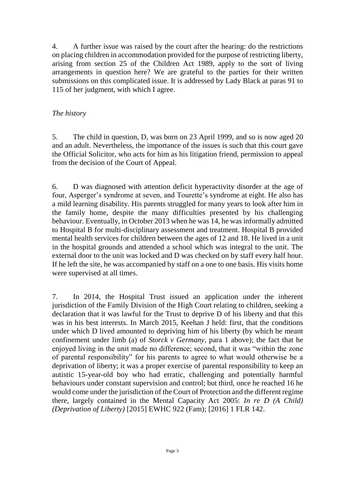4. A further issue was raised by the court after the hearing: do the restrictions on placing children in accommodation provided for the purpose of restricting liberty, arising from section 25 of the Children Act 1989, apply to the sort of living arrangements in question here? We are grateful to the parties for their written submissions on this complicated issue. It is addressed by Lady Black at paras 91 to 115 of her judgment, with which I agree.

## *The history*

5. The child in question, D, was born on 23 April 1999, and so is now aged 20 and an adult. Nevertheless, the importance of the issues is such that this court gave the Official Solicitor, who acts for him as his litigation friend, permission to appeal from the decision of the Court of Appeal.

6. D was diagnosed with attention deficit hyperactivity disorder at the age of four, Asperger's syndrome at seven, and Tourette's syndrome at eight. He also has a mild learning disability. His parents struggled for many years to look after him in the family home, despite the many difficulties presented by his challenging behaviour. Eventually, in October 2013 when he was 14, he was informally admitted to Hospital B for multi-disciplinary assessment and treatment. Hospital B provided mental health services for children between the ages of 12 and 18. He lived in a unit in the hospital grounds and attended a school which was integral to the unit. The external door to the unit was locked and D was checked on by staff every half hour. If he left the site, he was accompanied by staff on a one to one basis. His visits home were supervised at all times.

7. In 2014, the Hospital Trust issued an application under the inherent jurisdiction of the Family Division of the High Court relating to children, seeking a declaration that it was lawful for the Trust to deprive D of his liberty and that this was in his best interests. In March 2015, Keehan J held: first, that the conditions under which D lived amounted to depriving him of his liberty (by which he meant confinement under limb (a) of *Storck v Germany*, para 1 above); the fact that he enjoyed living in the unit made no difference; second, that it was "within the zone of parental responsibility" for his parents to agree to what would otherwise be a deprivation of liberty; it was a proper exercise of parental responsibility to keep an autistic 15-year-old boy who had erratic, challenging and potentially harmful behaviours under constant supervision and control; but third, once he reached 16 he would come under the jurisdiction of the Court of Protection and the different regime there, largely contained in the Mental Capacity Act 2005: *In re D (A Child) (Deprivation of Liberty)* [2015] EWHC 922 (Fam); [2016] 1 FLR 142.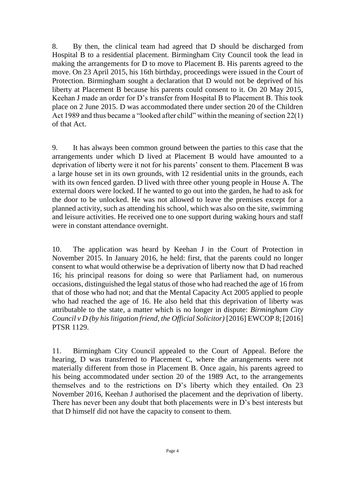8. By then, the clinical team had agreed that D should be discharged from Hospital B to a residential placement. Birmingham City Council took the lead in making the arrangements for D to move to Placement B. His parents agreed to the move. On 23 April 2015, his 16th birthday, proceedings were issued in the Court of Protection. Birmingham sought a declaration that D would not be deprived of his liberty at Placement B because his parents could consent to it. On 20 May 2015, Keehan J made an order for D's transfer from Hospital B to Placement B. This took place on 2 June 2015. D was accommodated there under section 20 of the Children Act 1989 and thus became a "looked after child" within the meaning of section 22(1) of that Act.

9. It has always been common ground between the parties to this case that the arrangements under which D lived at Placement B would have amounted to a deprivation of liberty were it not for his parents' consent to them. Placement B was a large house set in its own grounds, with 12 residential units in the grounds, each with its own fenced garden. D lived with three other young people in House A. The external doors were locked. If he wanted to go out into the garden, he had to ask for the door to be unlocked. He was not allowed to leave the premises except for a planned activity, such as attending his school, which was also on the site, swimming and leisure activities. He received one to one support during waking hours and staff were in constant attendance overnight.

10. The application was heard by Keehan J in the Court of Protection in November 2015. In January 2016, he held: first, that the parents could no longer consent to what would otherwise be a deprivation of liberty now that D had reached 16; his principal reasons for doing so were that Parliament had, on numerous occasions, distinguished the legal status of those who had reached the age of 16 from that of those who had not; and that the Mental Capacity Act 2005 applied to people who had reached the age of 16. He also held that this deprivation of liberty was attributable to the state, a matter which is no longer in dispute: *Birmingham City Council v D (by his litigation friend, the Official Solicitor)* [2016] EWCOP 8; [2016] PTSR 1129.

11. Birmingham City Council appealed to the Court of Appeal. Before the hearing, D was transferred to Placement C, where the arrangements were not materially different from those in Placement B. Once again, his parents agreed to his being accommodated under section 20 of the 1989 Act, to the arrangements themselves and to the restrictions on D's liberty which they entailed. On 23 November 2016, Keehan J authorised the placement and the deprivation of liberty. There has never been any doubt that both placements were in D's best interests but that D himself did not have the capacity to consent to them.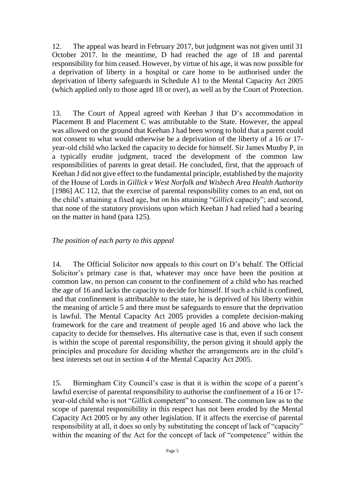12. The appeal was heard in February 2017, but judgment was not given until 31 October 2017. In the meantime, D had reached the age of 18 and parental responsibility for him ceased. However, by virtue of his age, it was now possible for a deprivation of liberty in a hospital or care home to be authorised under the deprivation of liberty safeguards in Schedule A1 to the Mental Capacity Act 2005 (which applied only to those aged 18 or over), as well as by the Court of Protection.

13. The Court of Appeal agreed with Keehan J that D's accommodation in Placement B and Placement C was attributable to the State. However, the appeal was allowed on the ground that Keehan J had been wrong to hold that a parent could not consent to what would otherwise be a deprivation of the liberty of a 16 or 17 year-old child who lacked the capacity to decide for himself. Sir James Munby P, in a typically erudite judgment, traced the development of the common law responsibilities of parents in great detail. He concluded, first, that the approach of Keehan J did not give effect to the fundamental principle, established by the majority of the House of Lords in *Gillick v West Norfolk and Wisbech Area Health Authority*  [1986] AC 112, that the exercise of parental responsibility comes to an end, not on the child's attaining a fixed age, but on his attaining "*Gillick* capacity"; and second, that none of the statutory provisions upon which Keehan J had relied had a bearing on the matter in hand (para 125).

## *The position of each party to this appeal*

14. The Official Solicitor now appeals to this court on D's behalf. The Official Solicitor's primary case is that, whatever may once have been the position at common law, no person can consent to the confinement of a child who has reached the age of 16 and lacks the capacity to decide for himself. If such a child is confined, and that confinement is attributable to the state, he is deprived of his liberty within the meaning of article 5 and there must be safeguards to ensure that the deprivation is lawful. The Mental Capacity Act 2005 provides a complete decision-making framework for the care and treatment of people aged 16 and above who lack the capacity to decide for themselves. His alternative case is that, even if such consent is within the scope of parental responsibility, the person giving it should apply the principles and procedure for deciding whether the arrangements are in the child's best interests set out in section 4 of the Mental Capacity Act 2005.

15. Birmingham City Council's case is that it is within the scope of a parent's lawful exercise of parental responsibility to authorise the confinement of a 16 or 17 year-old child who is not "*Gillick* competent" to consent. The common law as to the scope of parental responsibility in this respect has not been eroded by the Mental Capacity Act 2005 or by any other legislation. If it affects the exercise of parental responsibility at all, it does so only by substituting the concept of lack of "capacity" within the meaning of the Act for the concept of lack of "competence" within the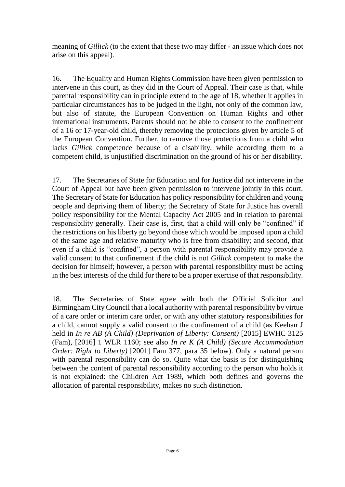meaning of *Gillick* (to the extent that these two may differ - an issue which does not arise on this appeal)*.*

16. The Equality and Human Rights Commission have been given permission to intervene in this court, as they did in the Court of Appeal. Their case is that, while parental responsibility can in principle extend to the age of 18, whether it applies in particular circumstances has to be judged in the light, not only of the common law, but also of statute, the European Convention on Human Rights and other international instruments. Parents should not be able to consent to the confinement of a 16 or 17-year-old child, thereby removing the protections given by article 5 of the European Convention. Further, to remove those protections from a child who lacks *Gillick* competence because of a disability, while according them to a competent child, is unjustified discrimination on the ground of his or her disability.

17. The Secretaries of State for Education and for Justice did not intervene in the Court of Appeal but have been given permission to intervene jointly in this court. The Secretary of State for Education has policy responsibility for children and young people and depriving them of liberty; the Secretary of State for Justice has overall policy responsibility for the Mental Capacity Act 2005 and in relation to parental responsibility generally. Their case is, first, that a child will only be "confined" if the restrictions on his liberty go beyond those which would be imposed upon a child of the same age and relative maturity who is free from disability; and second, that even if a child is "confined", a person with parental responsibility may provide a valid consent to that confinement if the child is not *Gillick* competent to make the decision for himself; however, a person with parental responsibility must be acting in the best interests of the child for there to be a proper exercise of that responsibility.

18. The Secretaries of State agree with both the Official Solicitor and Birmingham City Council that a local authority with parental responsibility by virtue of a care order or interim care order, or with any other statutory responsibilities for a child, cannot supply a valid consent to the confinement of a child (as Keehan J held in *In re AB (A Child) (Deprivation of Liberty: Consent)* [2015] EWHC 3125 (Fam), [2016] 1 WLR 1160; see also *In re K (A Child) (Secure Accommodation Order: Right to Liberty)* [2001] Fam 377, para 35 below). Only a natural person with parental responsibility can do so. Quite what the basis is for distinguishing between the content of parental responsibility according to the person who holds it is not explained: the Children Act 1989, which both defines and governs the allocation of parental responsibility, makes no such distinction.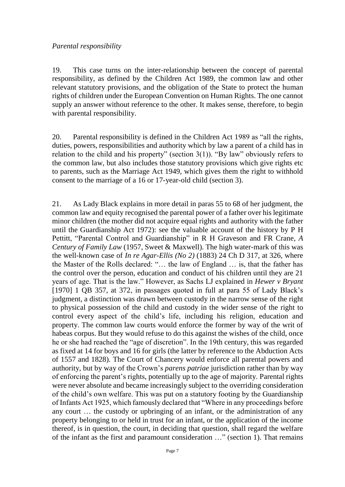#### *Parental responsibility*

19. This case turns on the inter-relationship between the concept of parental responsibility, as defined by the Children Act 1989, the common law and other relevant statutory provisions, and the obligation of the State to protect the human rights of children under the European Convention on Human Rights. The one cannot supply an answer without reference to the other. It makes sense, therefore, to begin with parental responsibility.

20. Parental responsibility is defined in the Children Act 1989 as "all the rights, duties, powers, responsibilities and authority which by law a parent of a child has in relation to the child and his property" (section  $3(1)$ ). "By law" obviously refers to the common law, but also includes those statutory provisions which give rights etc to parents, such as the Marriage Act 1949, which gives them the right to withhold consent to the marriage of a 16 or 17-year-old child (section 3).

21. As Lady Black explains in more detail in paras 55 to 68 of her judgment, the common law and equity recognised the parental power of a father over his legitimate minor children (the mother did not acquire equal rights and authority with the father until the Guardianship Act 1972): see the valuable account of the history by P H Pettitt, "Parental Control and Guardianship" in R H Graveson and FR Crane*, A Century of Family Law* (1957, Sweet & Maxwell). The high water-mark of this was the well-known case of *In re Agar-Ellis (No 2)* (1883) 24 Ch D 317, at 326, where the Master of the Rolls declared: "… the law of England … is, that the father has the control over the person, education and conduct of his children until they are 21 years of age. That is the law." However, as Sachs LJ explained in *Hewer v Bryant* [1970] 1 QB 357, at 372, in passages quoted in full at para 55 of Lady Black's judgment, a distinction was drawn between custody in the narrow sense of the right to physical possession of the child and custody in the wider sense of the right to control every aspect of the child's life, including his religion, education and property. The common law courts would enforce the former by way of the writ of habeas corpus. But they would refuse to do this against the wishes of the child, once he or she had reached the "age of discretion". In the 19th century, this was regarded as fixed at 14 for boys and 16 for girls (the latter by reference to the Abduction Acts of 1557 and 1828). The Court of Chancery would enforce all parental powers and authority, but by way of the Crown's *parens patriae* jurisdiction rather than by way of enforcing the parent's rights, potentially up to the age of majority. Parental rights were never absolute and became increasingly subject to the overriding consideration of the child's own welfare. This was put on a statutory footing by the Guardianship of Infants Act 1925, which famously declared that "Where in any proceedings before any court … the custody or upbringing of an infant, or the administration of any property belonging to or held in trust for an infant, or the application of the income thereof, is in question, the court, in deciding that question, shall regard the welfare of the infant as the first and paramount consideration …" (section 1). That remains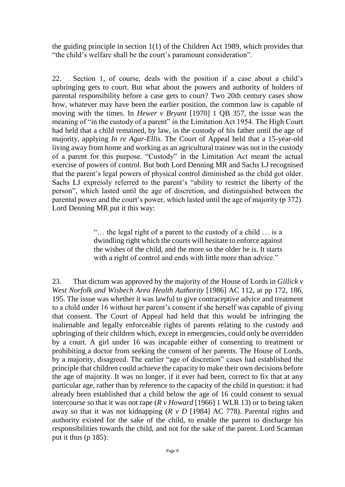the guiding principle in section 1(1) of the Children Act 1989, which provides that "the child's welfare shall be the court's paramount consideration".

22. Section 1, of course, deals with the position if a case about a child's upbringing gets to court. But what about the powers and authority of holders of parental responsibility before a case gets to court? Two 20th century cases show how, whatever may have been the earlier position, the common law is capable of moving with the times. In *Hewer v Bryant* [1970] 1 QB 357, the issue was the meaning of "in the custody of a parent" in the Limitation Act 1954. The High Court had held that a child remained, by law, in the custody of his father until the age of majority, applying *In re Agar-Ellis*. The Court of Appeal held that a 15-year-old living away from home and working as an agricultural trainee was not in the custody of a parent for this purpose. "Custody" in the Limitation Act meant the actual exercise of powers of control. But both Lord Denning MR and Sachs LJ recognised that the parent's legal powers of physical control diminished as the child got older. Sachs LJ expressly referred to the parent's "ability to restrict the liberty of the person", which lasted until the age of discretion, and distinguished between the parental power and the court's power, which lasted until the age of majority (p 372). Lord Denning MR put it this way:

> "… the legal right of a parent to the custody of a child … is a dwindling right which the courts will hesitate to enforce against the wishes of the child, and the more so the older he is. It starts with a right of control and ends with little more than advice."

23. That dictum was approved by the majority of the House of Lords in *Gillick v West Norfolk and Wisbech Area Health Authority* [1986] AC 112, at pp 172, 186, 195. The issue was whether it was lawful to give contraceptive advice and treatment to a child under 16 without her parent's consent if she herself was capable of giving that consent. The Court of Appeal had held that this would be infringing the inalienable and legally enforceable rights of parents relating to the custody and upbringing of their children which, except in emergencies, could only be overridden by a court. A girl under 16 was incapable either of consenting to treatment or prohibiting a doctor from seeking the consent of her parents. The House of Lords, by a majority, disagreed. The earlier "age of discretion" cases had established the principle that children could achieve the capacity to make their own decisions before the age of majority. It was no longer, if it ever had been, correct to fix that at any particular age, rather than by reference to the capacity of the child in question: it had already been established that a child below the age of 16 could consent to sexual intercourse so that it was not rape (*R v Howard* [1966] 1 WLR 13) or to being taken away so that it was not kidnapping (*R v D* [1984] AC 778). Parental rights and authority existed for the sake of the child, to enable the parent to discharge his responsibilities towards the child, and not for the sake of the parent. Lord Scarman put it thus (p 185):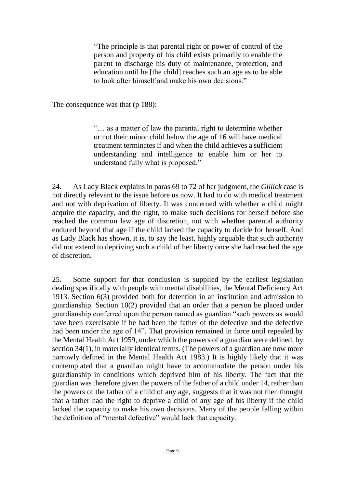"The principle is that parental right or power of control of the person and property of his child exists primarily to enable the parent to discharge his duty of maintenance, protection, and education until he [the child] reaches such an age as to be able to look after himself and make his own decisions."

The consequence was that (p 188):

"… as a matter of law the parental right to determine whether or not their minor child below the age of 16 will have medical treatment terminates if and when the child achieves a sufficient understanding and intelligence to enable him or her to understand fully what is proposed."

24. As Lady Black explains in paras 69 to 72 of her judgment, the *Gillick* case is not directly relevant to the issue before us now. It had to do with medical treatment and not with deprivation of liberty. It was concerned with whether a child might acquire the capacity, and the right, to make such decisions for herself before she reached the common law age of discretion, not with whether parental authority endured beyond that age if the child lacked the capacity to decide for herself. And as Lady Black has shown, it is, to say the least, highly arguable that such authority did not extend to depriving such a child of her liberty once she had reached the age of discretion.

25. Some support for that conclusion is supplied by the earliest legislation dealing specifically with people with mental disabilities, the Mental Deficiency Act 1913. Section 6(3) provided both for detention in an institution and admission to guardianship. Section 10(2) provided that an order that a person be placed under guardianship conferred upon the person named as guardian "such powers as would have been exercisable if he had been the father of the defective and the defective had been under the age of 14". That provision remained in force until repealed by the Mental Health Act 1959, under which the powers of a guardian were defined, by section 34(1), in materially identical terms. (The powers of a guardian are now more narrowly defined in the Mental Health Act 1983.) It is highly likely that it was contemplated that a guardian might have to accommodate the person under his guardianship in conditions which deprived him of his liberty. The fact that the guardian was therefore given the powers of the father of a child under 14, rather than the powers of the father of a child of any age, suggests that it was not then thought that a father had the right to deprive a child of any age of his liberty if the child lacked the capacity to make his own decisions. Many of the people falling within the definition of "mental defective" would lack that capacity.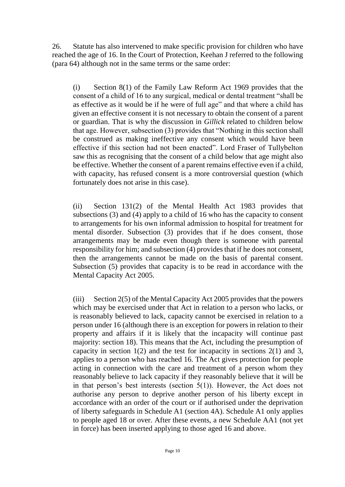26. Statute has also intervened to make specific provision for children who have reached the age of 16. In the Court of Protection, Keehan J referred to the following (para 64) although not in the same terms or the same order:

(i) Section 8(1) of the Family Law Reform Act 1969 provides that the consent of a child of 16 to any surgical, medical or dental treatment "shall be as effective as it would be if he were of full age" and that where a child has given an effective consent it is not necessary to obtain the consent of a parent or guardian. That is why the discussion in *Gillick* related to children below that age. However, subsection (3) provides that "Nothing in this section shall be construed as making ineffective any consent which would have been effective if this section had not been enacted". Lord Fraser of Tullybelton saw this as recognising that the consent of a child below that age might also be effective. Whether the consent of a parent remains effective even if a child, with capacity, has refused consent is a more controversial question (which fortunately does not arise in this case).

(ii) Section 131(2) of the Mental Health Act 1983 provides that subsections (3) and (4) apply to a child of 16 who has the capacity to consent to arrangements for his own informal admission to hospital for treatment for mental disorder. Subsection (3) provides that if he does consent, those arrangements may be made even though there is someone with parental responsibility for him; and subsection (4) provides that if he does not consent, then the arrangements cannot be made on the basis of parental consent. Subsection (5) provides that capacity is to be read in accordance with the Mental Capacity Act 2005.

(iii) Section 2(5) of the Mental Capacity Act 2005 provides that the powers which may be exercised under that Act in relation to a person who lacks, or is reasonably believed to lack, capacity cannot be exercised in relation to a person under 16 (although there is an exception for powers in relation to their property and affairs if it is likely that the incapacity will continue past majority: section 18). This means that the Act, including the presumption of capacity in section  $1(2)$  and the test for incapacity in sections  $2(1)$  and 3, applies to a person who has reached 16. The Act gives protection for people acting in connection with the care and treatment of a person whom they reasonably believe to lack capacity if they reasonably believe that it will be in that person's best interests (section 5(1)). However, the Act does not authorise any person to deprive another person of his liberty except in accordance with an order of the court or if authorised under the deprivation of liberty safeguards in Schedule A1 (section 4A). Schedule A1 only applies to people aged 18 or over. After these events, a new Schedule AA1 (not yet in force) has been inserted applying to those aged 16 and above.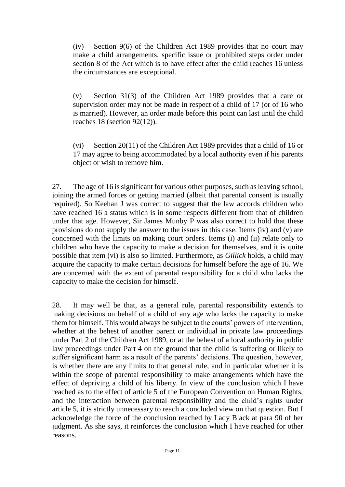(iv) Section 9(6) of the Children Act 1989 provides that no court may make a child arrangements, specific issue or prohibited steps order under section 8 of the Act which is to have effect after the child reaches 16 unless the circumstances are exceptional.

(v) Section 31(3) of the Children Act 1989 provides that a care or supervision order may not be made in respect of a child of 17 (or of 16 who is married). However, an order made before this point can last until the child reaches 18 (section 92(12)).

(vi) Section 20(11) of the Children Act 1989 provides that a child of 16 or 17 may agree to being accommodated by a local authority even if his parents object or wish to remove him.

27. The age of 16 is significant for various other purposes, such as leaving school, joining the armed forces or getting married (albeit that parental consent is usually required). So Keehan J was correct to suggest that the law accords children who have reached 16 a status which is in some respects different from that of children under that age. However, Sir James Munby P was also correct to hold that these provisions do not supply the answer to the issues in this case. Items (iv) and (v) are concerned with the limits on making court orders. Items (i) and (ii) relate only to children who have the capacity to make a decision for themselves, and it is quite possible that item (vi) is also so limited. Furthermore, as *Gillick* holds*,* a child may acquire the capacity to make certain decisions for himself before the age of 16. We are concerned with the extent of parental responsibility for a child who lacks the capacity to make the decision for himself.

28. It may well be that, as a general rule, parental responsibility extends to making decisions on behalf of a child of any age who lacks the capacity to make them for himself. This would always be subject to the courts' powers of intervention, whether at the behest of another parent or individual in private law proceedings under Part 2 of the Children Act 1989, or at the behest of a local authority in public law proceedings under Part 4 on the ground that the child is suffering or likely to suffer significant harm as a result of the parents' decisions. The question, however, is whether there are any limits to that general rule, and in particular whether it is within the scope of parental responsibility to make arrangements which have the effect of depriving a child of his liberty. In view of the conclusion which I have reached as to the effect of article 5 of the European Convention on Human Rights, and the interaction between parental responsibility and the child's rights under article 5, it is strictly unnecessary to reach a concluded view on that question. But I acknowledge the force of the conclusion reached by Lady Black at para 90 of her judgment. As she says, it reinforces the conclusion which I have reached for other reasons.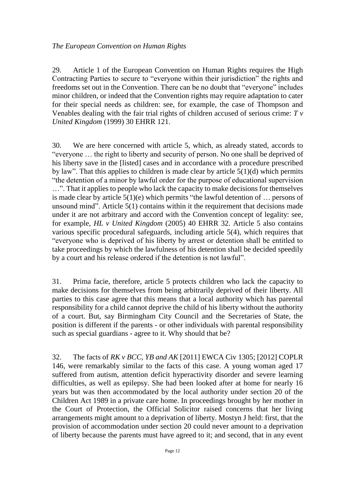29. Article 1 of the European Convention on Human Rights requires the High Contracting Parties to secure to "everyone within their jurisdiction" the rights and freedoms set out in the Convention. There can be no doubt that "everyone" includes minor children, or indeed that the Convention rights may require adaptation to cater for their special needs as children: see, for example, the case of Thompson and Venables dealing with the fair trial rights of children accused of serious crime: *T v United Kingdom* (1999) 30 EHRR 121.

30. We are here concerned with article 5, which, as already stated, accords to "everyone … the right to liberty and security of person. No one shall be deprived of his liberty save in the [listed] cases and in accordance with a procedure prescribed by law". That this applies to children is made clear by article 5(1)(d) which permits "the detention of a minor by lawful order for the purpose of educational supervision …". That it applies to people who lack the capacity to make decisions for themselves is made clear by article 5(1)(e) which permits "the lawful detention of … persons of unsound mind". Article 5(1) contains within it the requirement that decisions made under it are not arbitrary and accord with the Convention concept of legality: see, for example, *HL v United Kingdom* (2005) 40 EHRR 32. Article 5 also contains various specific procedural safeguards, including article 5(4), which requires that "everyone who is deprived of his liberty by arrest or detention shall be entitled to take proceedings by which the lawfulness of his detention shall be decided speedily by a court and his release ordered if the detention is not lawful".

31. Prima facie, therefore, article 5 protects children who lack the capacity to make decisions for themselves from being arbitrarily deprived of their liberty. All parties to this case agree that this means that a local authority which has parental responsibility for a child cannot deprive the child of his liberty without the authority of a court. But, say Birmingham City Council and the Secretaries of State, the position is different if the parents - or other individuals with parental responsibility such as special guardians - agree to it. Why should that be?

32. The facts of *RK v BCC, YB and AK* [2011] EWCA Civ 1305; [2012] COPLR 146, were remarkably similar to the facts of this case. A young woman aged 17 suffered from autism, attention deficit hyperactivity disorder and severe learning difficulties, as well as epilepsy. She had been looked after at home for nearly 16 years but was then accommodated by the local authority under section 20 of the Children Act 1989 in a private care home. In proceedings brought by her mother in the Court of Protection, the Official Solicitor raised concerns that her living arrangements might amount to a deprivation of liberty. Mostyn J held: first, that the provision of accommodation under section 20 could never amount to a deprivation of liberty because the parents must have agreed to it; and second, that in any event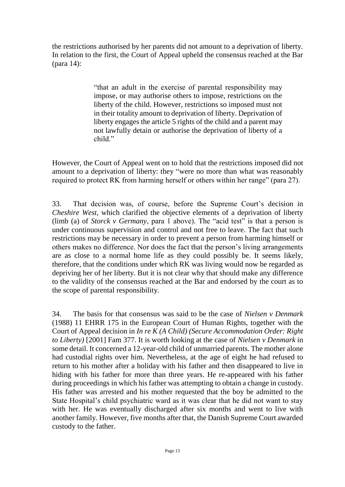the restrictions authorised by her parents did not amount to a deprivation of liberty. In relation to the first, the Court of Appeal upheld the consensus reached at the Bar (para 14):

> "that an adult in the exercise of parental responsibility may impose, or may authorise others to impose, restrictions on the liberty of the child. However, restrictions so imposed must not in their totality amount to deprivation of liberty. Deprivation of liberty engages the article 5 rights of the child and a parent may not lawfully detain or authorise the deprivation of liberty of a child."

However, the Court of Appeal went on to hold that the restrictions imposed did not amount to a deprivation of liberty: they "were no more than what was reasonably required to protect RK from harming herself or others within her range" (para 27).

33. That decision was, of course, before the Supreme Court's decision in *Cheshire West*, which clarified the objective elements of a deprivation of liberty (limb (a) of *Storck v Germany*, para 1 above). The "acid test" is that a person is under continuous supervision and control and not free to leave. The fact that such restrictions may be necessary in order to prevent a person from harming himself or others makes no difference. Nor does the fact that the person's living arrangements are as close to a normal home life as they could possibly be. It seems likely, therefore, that the conditions under which RK was living would now be regarded as depriving her of her liberty. But it is not clear why that should make any difference to the validity of the consensus reached at the Bar and endorsed by the court as to the scope of parental responsibility.

34. The basis for that consensus was said to be the case of *Nielsen v Denmark* (1988) 11 EHRR 175 in the European Court of Human Rights, together with the Court of Appeal decision in *In re K (A Child) (Secure Accommodation Order: Right to Liberty)* [2001] Fam 377. It is worth looking at the case of *Nielsen v Denmark* in some detail. It concerned a 12-year-old child of unmarried parents. The mother alone had custodial rights over him. Nevertheless, at the age of eight he had refused to return to his mother after a holiday with his father and then disappeared to live in hiding with his father for more than three years. He re-appeared with his father during proceedings in which his father was attempting to obtain a change in custody. His father was arrested and his mother requested that the boy be admitted to the State Hospital's child psychiatric ward as it was clear that he did not want to stay with her. He was eventually discharged after six months and went to live with another family. However, five months after that, the Danish Supreme Court awarded custody to the father.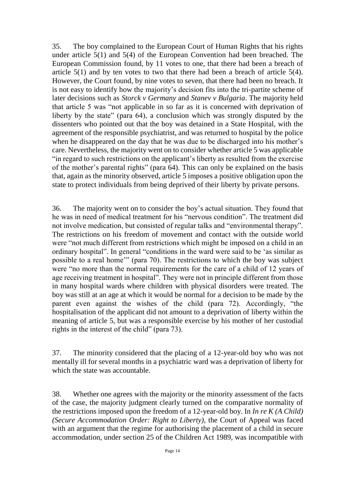35. The boy complained to the European Court of Human Rights that his rights under article 5(1) and 5(4) of the European Convention had been breached. The European Commission found, by 11 votes to one, that there had been a breach of article 5(1) and by ten votes to two that there had been a breach of article 5(4). However, the Court found, by nine votes to seven, that there had been no breach. It is not easy to identify how the majority's decision fits into the tri-partite scheme of later decisions such as *Storck v Germany* and *Stanev v Bulgaria*. The majority held that article 5 was "not applicable in so far as it is concerned with deprivation of liberty by the state" (para 64), a conclusion which was strongly disputed by the dissenters who pointed out that the boy was detained in a State Hospital, with the agreement of the responsible psychiatrist, and was returned to hospital by the police when he disappeared on the day that he was due to be discharged into his mother's care. Nevertheless, the majority went on to consider whether article 5 was applicable "in regard to such restrictions on the applicant's liberty as resulted from the exercise of the mother's parental rights" (para 64). This can only be explained on the basis that, again as the minority observed, article 5 imposes a positive obligation upon the state to protect individuals from being deprived of their liberty by private persons.

36. The majority went on to consider the boy's actual situation. They found that he was in need of medical treatment for his "nervous condition". The treatment did not involve medication, but consisted of regular talks and "environmental therapy". The restrictions on his freedom of movement and contact with the outside world were "not much different from restrictions which might be imposed on a child in an ordinary hospital". In general "conditions in the ward were said to be 'as similar as possible to a real home'" (para 70). The restrictions to which the boy was subject were "no more than the normal requirements for the care of a child of 12 years of age receiving treatment in hospital". They were not in principle different from those in many hospital wards where children with physical disorders were treated. The boy was still at an age at which it would be normal for a decision to be made by the parent even against the wishes of the child (para 72). Accordingly, "the hospitalisation of the applicant did not amount to a deprivation of liberty within the meaning of article 5, but was a responsible exercise by his mother of her custodial rights in the interest of the child" (para 73).

37. The minority considered that the placing of a 12-year-old boy who was not mentally ill for several months in a psychiatric ward was a deprivation of liberty for which the state was accountable.

38. Whether one agrees with the majority or the minority assessment of the facts of the case, the majority judgment clearly turned on the comparative normality of the restrictions imposed upon the freedom of a 12-year-old boy. In *In re K (A Child) (Secure Accommodation Order: Right to Liberty)*, the Court of Appeal was faced with an argument that the regime for authorising the placement of a child in secure accommodation, under section 25 of the Children Act 1989, was incompatible with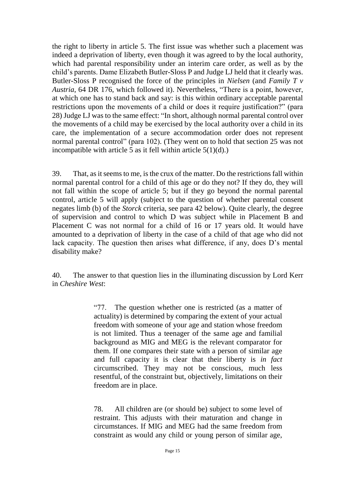the right to liberty in article 5. The first issue was whether such a placement was indeed a deprivation of liberty, even though it was agreed to by the local authority, which had parental responsibility under an interim care order, as well as by the child's parents. Dame Elizabeth Butler-Sloss P and Judge LJ held that it clearly was. Butler-Sloss P recognised the force of the principles in *Nielsen* (and *Family T v Austria*, 64 DR 176, which followed it). Nevertheless, "There is a point, however, at which one has to stand back and say: is this within ordinary acceptable parental restrictions upon the movements of a child or does it require justification?" (para 28) Judge LJ was to the same effect: "In short, although normal parental control over the movements of a child may be exercised by the local authority over a child in its care, the implementation of a secure accommodation order does not represent normal parental control" (para 102). (They went on to hold that section 25 was not incompatible with article 5 as it fell within article  $5(1)(d)$ .)

39. That, as it seems to me, is the crux of the matter. Do the restrictions fall within normal parental control for a child of this age or do they not? If they do, they will not fall within the scope of article 5; but if they go beyond the normal parental control, article 5 will apply (subject to the question of whether parental consent negates limb (b) of the *Storck* criteria, see para 42 below). Quite clearly, the degree of supervision and control to which D was subject while in Placement B and Placement C was not normal for a child of 16 or 17 years old. It would have amounted to a deprivation of liberty in the case of a child of that age who did not lack capacity. The question then arises what difference, if any, does D's mental disability make?

40. The answer to that question lies in the illuminating discussion by Lord Kerr in *Cheshire West*:

> "77. The question whether one is restricted (as a matter of actuality) is determined by comparing the extent of your actual freedom with someone of your age and station whose freedom is not limited. Thus a teenager of the same age and familial background as MIG and MEG is the relevant comparator for them. If one compares their state with a person of similar age and full capacity it is clear that their liberty is *in fact*  circumscribed. They may not be conscious, much less resentful, of the constraint but, objectively, limitations on their freedom are in place.

> 78. All children are (or should be) subject to some level of restraint. This adjusts with their maturation and change in circumstances. If MIG and MEG had the same freedom from constraint as would any child or young person of similar age,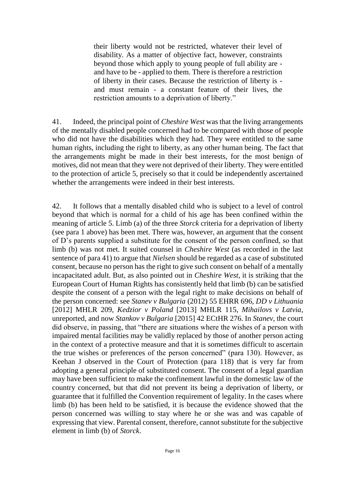their liberty would not be restricted, whatever their level of disability. As a matter of objective fact, however, constraints beyond those which apply to young people of full ability are and have to be - applied to them. There is therefore a restriction of liberty in their cases. Because the restriction of liberty is and must remain - a constant feature of their lives, the restriction amounts to a deprivation of liberty."

41. Indeed, the principal point of *Cheshire West* was that the living arrangements of the mentally disabled people concerned had to be compared with those of people who did not have the disabilities which they had. They were entitled to the same human rights, including the right to liberty, as any other human being. The fact that the arrangements might be made in their best interests, for the most benign of motives, did not mean that they were not deprived of their liberty. They were entitled to the protection of article 5, precisely so that it could be independently ascertained whether the arrangements were indeed in their best interests.

42. It follows that a mentally disabled child who is subject to a level of control beyond that which is normal for a child of his age has been confined within the meaning of article 5. Limb (a) of the three *Storck* criteria for a deprivation of liberty (see para 1 above) has been met. There was, however, an argument that the consent of D's parents supplied a substitute for the consent of the person confined, so that limb (b) was not met. It suited counsel in *Cheshire West* (as recorded in the last sentence of para 41) to argue that *Nielsen* should be regarded as a case of substituted consent, because no person has the right to give such consent on behalf of a mentally incapacitated adult. But, as also pointed out in *Cheshire West*, it is striking that the European Court of Human Rights has consistently held that limb (b) can be satisfied despite the consent of a person with the legal right to make decisions on behalf of the person concerned: see *Stanev v Bulgaria* (2012) 55 EHRR 696, *DD v Lithuania*  [2012] MHLR 209, *Kedzior v Poland* [2013] MHLR 115, *Mihailovs v Latvia*, unreported, and now *Stankov v Bulgaria* [2015] 42 ECtHR 276. In *Stanev*, the court did observe, in passing, that "there are situations where the wishes of a person with impaired mental facilities may be validly replaced by those of another person acting in the context of a protective measure and that it is sometimes difficult to ascertain the true wishes or preferences of the person concerned" (para 130). However, as Keehan J observed in the Court of Protection (para 118) that is very far from adopting a general principle of substituted consent. The consent of a legal guardian may have been sufficient to make the confinement lawful in the domestic law of the country concerned, but that did not prevent its being a deprivation of liberty, or guarantee that it fulfilled the Convention requirement of legality. In the cases where limb (b) has been held to be satisfied, it is because the evidence showed that the person concerned was willing to stay where he or she was and was capable of expressing that view. Parental consent, therefore, cannot substitute for the subjective element in limb (b) of *Storck*.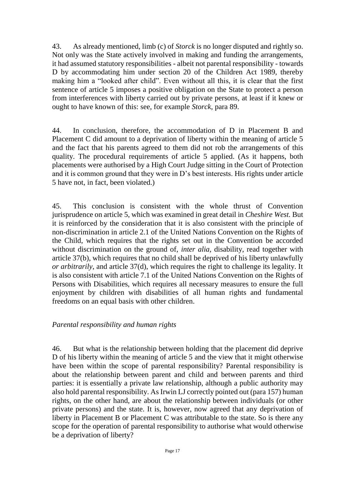43. As already mentioned, limb (c) of *Storck* is no longer disputed and rightly so. Not only was the State actively involved in making and funding the arrangements, it had assumed statutory responsibilities - albeit not parental responsibility - towards D by accommodating him under section 20 of the Children Act 1989, thereby making him a "looked after child". Even without all this, it is clear that the first sentence of article 5 imposes a positive obligation on the State to protect a person from interferences with liberty carried out by private persons, at least if it knew or ought to have known of this: see, for example *Storck*, para 89.

44. In conclusion, therefore, the accommodation of D in Placement B and Placement C did amount to a deprivation of liberty within the meaning of article 5 and the fact that his parents agreed to them did not rob the arrangements of this quality. The procedural requirements of article 5 applied. (As it happens, both placements were authorised by a High Court Judge sitting in the Court of Protection and it is common ground that they were in D's best interests. His rights under article 5 have not, in fact, been violated.)

45. This conclusion is consistent with the whole thrust of Convention jurisprudence on article 5, which was examined in great detail in *Cheshire West.* But it is reinforced by the consideration that it is also consistent with the principle of non-discrimination in article 2.1 of the United Nations Convention on the Rights of the Child, which requires that the rights set out in the Convention be accorded without discrimination on the ground of, *inter alia*, disability, read together with article 37(b), which requires that no child shall be deprived of his liberty unlawfully *or arbitrarily*, and article 37(d), which requires the right to challenge its legality. It is also consistent with article 7.1 of the United Nations Convention on the Rights of Persons with Disabilities, which requires all necessary measures to ensure the full enjoyment by children with disabilities of all human rights and fundamental freedoms on an equal basis with other children.

## *Parental responsibility and human rights*

46. But what is the relationship between holding that the placement did deprive D of his liberty within the meaning of article 5 and the view that it might otherwise have been within the scope of parental responsibility? Parental responsibility is about the relationship between parent and child and between parents and third parties: it is essentially a private law relationship, although a public authority may also hold parental responsibility. As Irwin LJ correctly pointed out (para 157) human rights, on the other hand, are about the relationship between individuals (or other private persons) and the state. It is, however, now agreed that any deprivation of liberty in Placement B or Placement C was attributable to the state. So is there any scope for the operation of parental responsibility to authorise what would otherwise be a deprivation of liberty?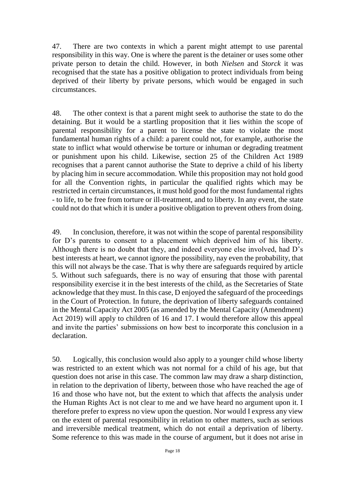47. There are two contexts in which a parent might attempt to use parental responsibility in this way. One is where the parent is the detainer or uses some other private person to detain the child. However, in both *Nielsen* and *Storck* it was recognised that the state has a positive obligation to protect individuals from being deprived of their liberty by private persons, which would be engaged in such circumstances.

48. The other context is that a parent might seek to authorise the state to do the detaining. But it would be a startling proposition that it lies within the scope of parental responsibility for a parent to license the state to violate the most fundamental human rights of a child: a parent could not, for example, authorise the state to inflict what would otherwise be torture or inhuman or degrading treatment or punishment upon his child. Likewise, section 25 of the Children Act 1989 recognises that a parent cannot authorise the State to deprive a child of his liberty by placing him in secure accommodation. While this proposition may not hold good for all the Convention rights, in particular the qualified rights which may be restricted in certain circumstances, it must hold good for the most fundamental rights - to life, to be free from torture or ill-treatment, and to liberty. In any event, the state could not do that which it is under a positive obligation to prevent others from doing.

49. In conclusion, therefore, it was not within the scope of parental responsibility for D's parents to consent to a placement which deprived him of his liberty. Although there is no doubt that they, and indeed everyone else involved, had D's best interests at heart, we cannot ignore the possibility, nay even the probability, that this will not always be the case. That is why there are safeguards required by article 5. Without such safeguards, there is no way of ensuring that those with parental responsibility exercise it in the best interests of the child, as the Secretaries of State acknowledge that they must. In this case, D enjoyed the safeguard of the proceedings in the Court of Protection. In future, the deprivation of liberty safeguards contained in the Mental Capacity Act 2005 (as amended by the Mental Capacity (Amendment) Act 2019) will apply to children of 16 and 17. I would therefore allow this appeal and invite the parties' submissions on how best to incorporate this conclusion in a declaration.

50. Logically, this conclusion would also apply to a younger child whose liberty was restricted to an extent which was not normal for a child of his age, but that question does not arise in this case. The common law may draw a sharp distinction, in relation to the deprivation of liberty, between those who have reached the age of 16 and those who have not, but the extent to which that affects the analysis under the Human Rights Act is not clear to me and we have heard no argument upon it. I therefore prefer to express no view upon the question. Nor would I express any view on the extent of parental responsibility in relation to other matters, such as serious and irreversible medical treatment, which do not entail a deprivation of liberty. Some reference to this was made in the course of argument, but it does not arise in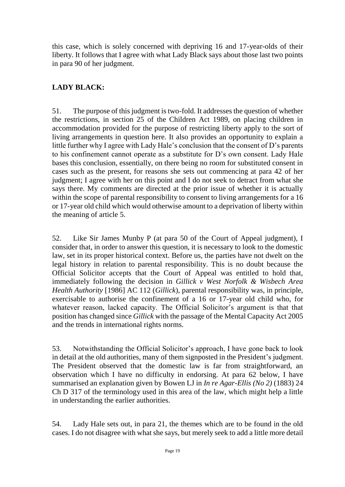this case, which is solely concerned with depriving 16 and 17-year-olds of their liberty. It follows that I agree with what Lady Black says about those last two points in para 90 of her judgment.

## **LADY BLACK:**

51. The purpose of this judgment is two-fold. It addresses the question of whether the restrictions, in section 25 of the Children Act 1989, on placing children in accommodation provided for the purpose of restricting liberty apply to the sort of living arrangements in question here. It also provides an opportunity to explain a little further why I agree with Lady Hale's conclusion that the consent of D's parents to his confinement cannot operate as a substitute for D's own consent. Lady Hale bases this conclusion, essentially, on there being no room for substituted consent in cases such as the present, for reasons she sets out commencing at para 42 of her judgment; I agree with her on this point and I do not seek to detract from what she says there. My comments are directed at the prior issue of whether it is actually within the scope of parental responsibility to consent to living arrangements for a 16 or 17-year old child which would otherwise amount to a deprivation of liberty within the meaning of article 5.

52. Like Sir James Munby P (at para 50 of the Court of Appeal judgment), I consider that, in order to answer this question, it is necessary to look to the domestic law, set in its proper historical context. Before us, the parties have not dwelt on the legal history in relation to parental responsibility. This is no doubt because the Official Solicitor accepts that the Court of Appeal was entitled to hold that, immediately following the decision in *Gillick v West Norfolk & Wisbech Area Health Authority* [1986] AC 112 (*Gillick*), parental responsibility was, in principle, exercisable to authorise the confinement of a 16 or 17-year old child who, for whatever reason, lacked capacity. The Official Solicitor's argument is that that position has changed since *Gillick* with the passage of the Mental Capacity Act 2005 and the trends in international rights norms.

53. Notwithstanding the Official Solicitor's approach, I have gone back to look in detail at the old authorities, many of them signposted in the President's judgment. The President observed that the domestic law is far from straightforward, an observation which I have no difficulty in endorsing. At para 62 below, I have summarised an explanation given by Bowen LJ in *In re Agar-Ellis (No 2)* (1883) 24 Ch D 317 of the terminology used in this area of the law, which might help a little in understanding the earlier authorities.

54. Lady Hale sets out, in para 21, the themes which are to be found in the old cases. I do not disagree with what she says, but merely seek to add a little more detail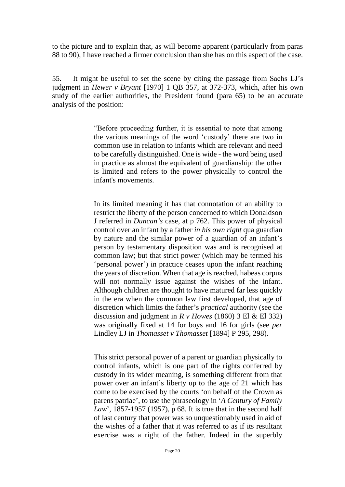to the picture and to explain that, as will become apparent (particularly from paras 88 to 90), I have reached a firmer conclusion than she has on this aspect of the case.

55. It might be useful to set the scene by citing the passage from Sachs LJ's judgment in *Hewer v Bryant* [1970] 1 QB 357, at 372-373, which, after his own study of the earlier authorities, the President found (para 65) to be an accurate analysis of the position:

> "Before proceeding further, it is essential to note that among the various meanings of the word 'custody' there are two in common use in relation to infants which are relevant and need to be carefully distinguished. One is wide - the word being used in practice as almost the equivalent of guardianship: the other is limited and refers to the power physically to control the infant's movements.

> In its limited meaning it has that connotation of an ability to restrict the liberty of the person concerned to which Donaldson J referred in *Duncan's* case, at p 762. This power of physical control over an infant by a father *in his own right* qua guardian by nature and the similar power of a guardian of an infant's person by testamentary disposition was and is recognised at common law; but that strict power (which may be termed his 'personal power') in practice ceases upon the infant reaching the years of discretion. When that age is reached, habeas corpus will not normally issue against the wishes of the infant. Although children are thought to have matured far less quickly in the era when the common law first developed, that age of discretion which limits the father's *practical* authority (see the discussion and judgment in  $R \vee$  *Howes* (1860) 3 El & El 332) was originally fixed at 14 for boys and 16 for girls (see *per*  Lindley LJ in *Thomasset v Thomasset* [1894] P 295, 298).

> This strict personal power of a parent or guardian physically to control infants, which is one part of the rights conferred by custody in its wider meaning, is something different from that power over an infant's liberty up to the age of 21 which has come to be exercised by the courts 'on behalf of the Crown as parens patriae', to use the phraseology in '*A Century of Family Law*', 1857-1957 (1957), p 68. It is true that in the second half of last century that power was so unquestionably used in aid of the wishes of a father that it was referred to as if its resultant exercise was a right of the father. Indeed in the superbly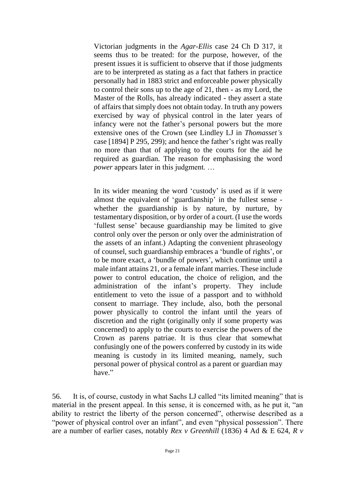Victorian judgments in the *Agar-Ellis* case 24 Ch D 317, it seems thus to be treated: for the purpose, however, of the present issues it is sufficient to observe that if those judgments are to be interpreted as stating as a fact that fathers in practice personally had in 1883 strict and enforceable power physically to control their sons up to the age of 21, then - as my Lord, the Master of the Rolls, has already indicated - they assert a state of affairs that simply does not obtain today. In truth any powers exercised by way of physical control in the later years of infancy were not the father's personal powers but the more extensive ones of the Crown (see Lindley LJ in *Thomasset's*  case [1894] P 295, 299); and hence the father's right was really no more than that of applying to the courts for the aid he required as guardian. The reason for emphasising the word *power* appears later in this judgment. ...

In its wider meaning the word 'custody' is used as if it were almost the equivalent of 'guardianship' in the fullest sense whether the guardianship is by nature, by nurture, by testamentary disposition, or by order of a court. (I use the words 'fullest sense' because guardianship may be limited to give control only over the person or only over the administration of the assets of an infant.) Adapting the convenient phraseology of counsel, such guardianship embraces a 'bundle of rights', or to be more exact, a 'bundle of powers', which continue until a male infant attains 21, or a female infant marries. These include power to control education, the choice of religion, and the administration of the infant's property. They include entitlement to veto the issue of a passport and to withhold consent to marriage. They include, also, both the personal power physically to control the infant until the years of discretion and the right (originally only if some property was concerned) to apply to the courts to exercise the powers of the Crown as parens patriae. It is thus clear that somewhat confusingly one of the powers conferred by custody in its wide meaning is custody in its limited meaning, namely, such personal power of physical control as a parent or guardian may have."

56. It is, of course, custody in what Sachs LJ called "its limited meaning" that is material in the present appeal. In this sense, it is concerned with, as he put it, "an ability to restrict the liberty of the person concerned", otherwise described as a "power of physical control over an infant", and even "physical possession". There are a number of earlier cases, notably *Rex v Greenhill* (1836) 4 Ad & E 624, *R v*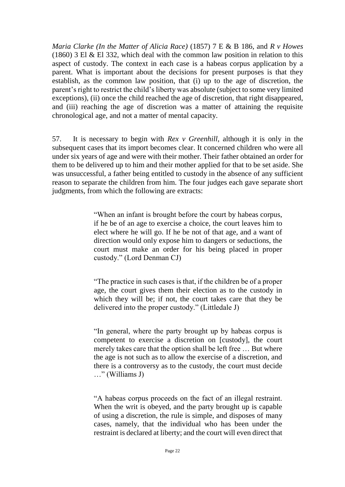*Maria Clarke (In the Matter of Alicia Race)* (1857) 7 E & B 186, and *R v Howes* (1860) 3 El  $\&$  El 332, which deal with the common law position in relation to this aspect of custody. The context in each case is a habeas corpus application by a parent. What is important about the decisions for present purposes is that they establish, as the common law position, that (i) up to the age of discretion, the parent's right to restrict the child's liberty was absolute (subject to some very limited exceptions), (ii) once the child reached the age of discretion, that right disappeared, and (iii) reaching the age of discretion was a matter of attaining the requisite chronological age, and not a matter of mental capacity.

57. It is necessary to begin with *Rex v Greenhill*, although it is only in the subsequent cases that its import becomes clear. It concerned children who were all under six years of age and were with their mother. Their father obtained an order for them to be delivered up to him and their mother applied for that to be set aside. She was unsuccessful, a father being entitled to custody in the absence of any sufficient reason to separate the children from him. The four judges each gave separate short judgments, from which the following are extracts:

> "When an infant is brought before the court by habeas corpus, if he be of an age to exercise a choice, the court leaves him to elect where he will go. If he be not of that age, and a want of direction would only expose him to dangers or seductions, the court must make an order for his being placed in proper custody." (Lord Denman CJ)

> "The practice in such cases is that, if the children be of a proper age, the court gives them their election as to the custody in which they will be; if not, the court takes care that they be delivered into the proper custody." (Littledale J)

> "In general, where the party brought up by habeas corpus is competent to exercise a discretion on [custody], the court merely takes care that the option shall be left free … But where the age is not such as to allow the exercise of a discretion, and there is a controversy as to the custody, the court must decide …" (Williams J)

> "A habeas corpus proceeds on the fact of an illegal restraint. When the writ is obeyed, and the party brought up is capable of using a discretion, the rule is simple, and disposes of many cases, namely, that the individual who has been under the restraint is declared at liberty; and the court will even direct that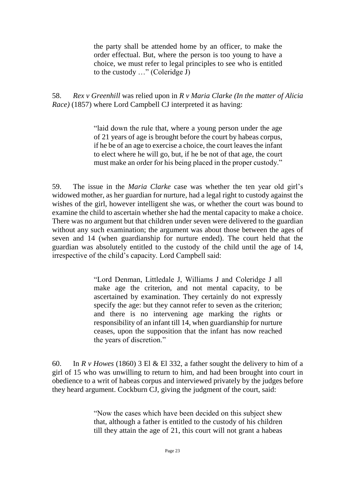the party shall be attended home by an officer, to make the order effectual. But, where the person is too young to have a choice, we must refer to legal principles to see who is entitled to the custody …" (Coleridge J)

58. *Rex v Greenhill* was relied upon in *R v Maria Clarke (In the matter of Alicia Race)* (1857) where Lord Campbell CJ interpreted it as having:

> "laid down the rule that, where a young person under the age of 21 years of age is brought before the court by habeas corpus, if he be of an age to exercise a choice, the court leaves the infant to elect where he will go, but, if he be not of that age, the court must make an order for his being placed in the proper custody."

59. The issue in the *Maria Clarke* case was whether the ten year old girl's widowed mother, as her guardian for nurture, had a legal right to custody against the wishes of the girl, however intelligent she was, or whether the court was bound to examine the child to ascertain whether she had the mental capacity to make a choice. There was no argument but that children under seven were delivered to the guardian without any such examination; the argument was about those between the ages of seven and 14 (when guardianship for nurture ended). The court held that the guardian was absolutely entitled to the custody of the child until the age of 14, irrespective of the child's capacity. Lord Campbell said:

> "Lord Denman, Littledale J, Williams J and Coleridge J all make age the criterion, and not mental capacity, to be ascertained by examination. They certainly do not expressly specify the age: but they cannot refer to seven as the criterion; and there is no intervening age marking the rights or responsibility of an infant till 14, when guardianship for nurture ceases, upon the supposition that the infant has now reached the years of discretion."

60. In *R v Howes* (1860) 3 El & El 332, a father sought the delivery to him of a girl of 15 who was unwilling to return to him, and had been brought into court in obedience to a writ of habeas corpus and interviewed privately by the judges before they heard argument. Cockburn CJ, giving the judgment of the court, said:

> "Now the cases which have been decided on this subject shew that, although a father is entitled to the custody of his children till they attain the age of 21, this court will not grant a habeas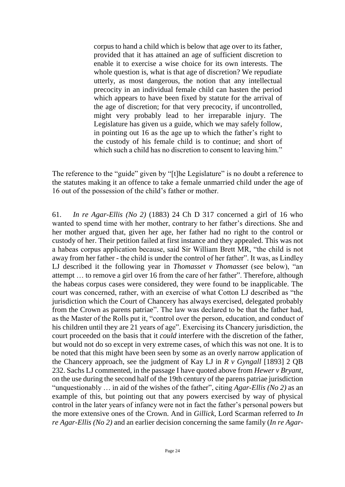corpus to hand a child which is below that age over to its father, provided that it has attained an age of sufficient discretion to enable it to exercise a wise choice for its own interests. The whole question is, what is that age of discretion? We repudiate utterly, as most dangerous, the notion that any intellectual precocity in an individual female child can hasten the period which appears to have been fixed by statute for the arrival of the age of discretion; for that very precocity, if uncontrolled, might very probably lead to her irreparable injury. The Legislature has given us a guide, which we may safely follow, in pointing out 16 as the age up to which the father's right to the custody of his female child is to continue; and short of which such a child has no discretion to consent to leaving him."

The reference to the "guide" given by "[t]he Legislature" is no doubt a reference to the statutes making it an offence to take a female unmarried child under the age of 16 out of the possession of the child's father or mother.

61. *In re Agar-Ellis (No 2)* (1883) 24 Ch D 317 concerned a girl of 16 who wanted to spend time with her mother, contrary to her father's directions. She and her mother argued that, given her age, her father had no right to the control or custody of her. Their petition failed at first instance and they appealed. This was not a habeas corpus application because, said Sir William Brett MR, "the child is not away from her father - the child is under the control of her father". It was, as Lindley LJ described it the following year in *Thomasset v Thomasset* (see below), "an attempt … to remove a girl over 16 from the care of her father". Therefore, although the habeas corpus cases were considered, they were found to be inapplicable. The court was concerned, rather, with an exercise of what Cotton LJ described as "the jurisdiction which the Court of Chancery has always exercised, delegated probably from the Crown as parens patriae". The law was declared to be that the father had, as the Master of the Rolls put it, "control over the person, education, and conduct of his children until they are 21 years of age". Exercising its Chancery jurisdiction, the court proceeded on the basis that it *could* interfere with the discretion of the father, but would not do so except in very extreme cases, of which this was not one. It is to be noted that this might have been seen by some as an overly narrow application of the Chancery approach, see the judgment of Kay LJ in *R v Gyngall* [1893] 2 QB 232. Sachs LJ commented, in the passage I have quoted above from *Hewer v Bryant*, on the use during the second half of the 19th century of the parens patriae jurisdiction "unquestionably … in aid of the wishes of the father", citing *Agar-Ellis (No 2)* as an example of this, but pointing out that any powers exercised by way of physical control in the later years of infancy were not in fact the father's personal powers but the more extensive ones of the Crown. And in *Gillick*, Lord Scarman referred to *In re Agar-Ellis (No 2)* and an earlier decision concerning the same family (*In re Agar-*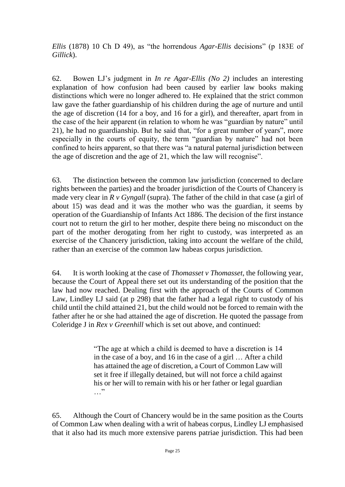*Ellis* (1878) 10 Ch D 49), as "the horrendous *Agar-Ellis* decisions" (p 183E of *Gillick*).

62. Bowen LJ's judgment in *In re Agar-Ellis (No 2)* includes an interesting explanation of how confusion had been caused by earlier law books making distinctions which were no longer adhered to. He explained that the strict common law gave the father guardianship of his children during the age of nurture and until the age of discretion (14 for a boy, and 16 for a girl), and thereafter, apart from in the case of the heir apparent (in relation to whom he was "guardian by nature" until 21), he had no guardianship. But he said that, "for a great number of years", more especially in the courts of equity, the term "guardian by nature" had not been confined to heirs apparent, so that there was "a natural paternal jurisdiction between the age of discretion and the age of 21, which the law will recognise".

63. The distinction between the common law jurisdiction (concerned to declare rights between the parties) and the broader jurisdiction of the Courts of Chancery is made very clear in *R v Gyngall* (supra). The father of the child in that case (a girl of about 15) was dead and it was the mother who was the guardian, it seems by operation of the Guardianship of Infants Act 1886. The decision of the first instance court not to return the girl to her mother, despite there being no misconduct on the part of the mother derogating from her right to custody, was interpreted as an exercise of the Chancery jurisdiction, taking into account the welfare of the child, rather than an exercise of the common law habeas corpus jurisdiction.

64. It is worth looking at the case of *Thomasset v Thomasset*, the following year, because the Court of Appeal there set out its understanding of the position that the law had now reached. Dealing first with the approach of the Courts of Common Law, Lindley LJ said (at p 298) that the father had a legal right to custody of his child until the child attained 21, but the child would not be forced to remain with the father after he or she had attained the age of discretion. He quoted the passage from Coleridge J in *Rex v Greenhill* which is set out above, and continued:

> "The age at which a child is deemed to have a discretion is 14 in the case of a boy, and 16 in the case of a girl … After a child has attained the age of discretion, a Court of Common Law will set it free if illegally detained, but will not force a child against his or her will to remain with his or her father or legal guardian …"

65. Although the Court of Chancery would be in the same position as the Courts of Common Law when dealing with a writ of habeas corpus, Lindley LJ emphasised that it also had its much more extensive parens patriae jurisdiction. This had been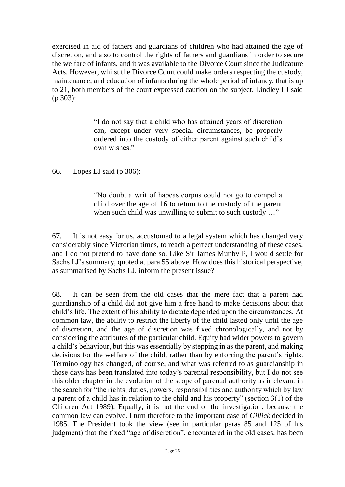exercised in aid of fathers and guardians of children who had attained the age of discretion, and also to control the rights of fathers and guardians in order to secure the welfare of infants, and it was available to the Divorce Court since the Judicature Acts. However, whilst the Divorce Court could make orders respecting the custody, maintenance, and education of infants during the whole period of infancy, that is up to 21, both members of the court expressed caution on the subject. Lindley LJ said (p 303):

> "I do not say that a child who has attained years of discretion can, except under very special circumstances, be properly ordered into the custody of either parent against such child's own wishes."

66. Lopes LJ said (p 306):

"No doubt a writ of habeas corpus could not go to compel a child over the age of 16 to return to the custody of the parent when such child was unwilling to submit to such custody ..."

67. It is not easy for us, accustomed to a legal system which has changed very considerably since Victorian times, to reach a perfect understanding of these cases, and I do not pretend to have done so. Like Sir James Munby P, I would settle for Sachs LJ's summary, quoted at para 55 above. How does this historical perspective, as summarised by Sachs LJ, inform the present issue?

68. It can be seen from the old cases that the mere fact that a parent had guardianship of a child did not give him a free hand to make decisions about that child's life. The extent of his ability to dictate depended upon the circumstances. At common law, the ability to restrict the liberty of the child lasted only until the age of discretion, and the age of discretion was fixed chronologically, and not by considering the attributes of the particular child. Equity had wider powers to govern a child's behaviour, but this was essentially by stepping in as the parent, and making decisions for the welfare of the child, rather than by enforcing the parent's rights. Terminology has changed, of course, and what was referred to as guardianship in those days has been translated into today's parental responsibility, but I do not see this older chapter in the evolution of the scope of parental authority as irrelevant in the search for "the rights, duties, powers, responsibilities and authority which by law a parent of a child has in relation to the child and his property" (section 3(1) of the Children Act 1989). Equally, it is not the end of the investigation, because the common law can evolve. I turn therefore to the important case of *Gillick* decided in 1985. The President took the view (see in particular paras 85 and 125 of his judgment) that the fixed "age of discretion", encountered in the old cases, has been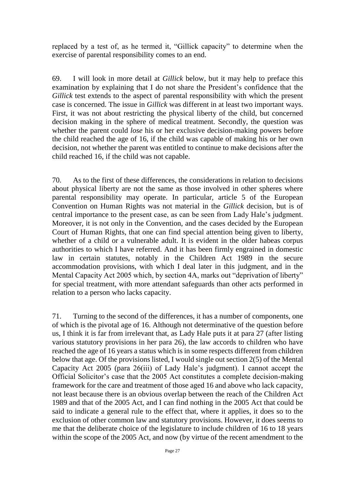replaced by a test of, as he termed it, "Gillick capacity" to determine when the exercise of parental responsibility comes to an end.

69. I will look in more detail at *Gillick* below, but it may help to preface this examination by explaining that I do not share the President's confidence that the *Gillick* test extends to the aspect of parental responsibility with which the present case is concerned. The issue in *Gillick* was different in at least two important ways. First, it was not about restricting the physical liberty of the child, but concerned decision making in the sphere of medical treatment. Secondly, the question was whether the parent could *lose* his or her exclusive decision-making powers before the child reached the age of 16, if the child was capable of making his or her own decision, not whether the parent was entitled to continue to make decisions after the child reached 16, if the child was not capable.

70. As to the first of these differences, the considerations in relation to decisions about physical liberty are not the same as those involved in other spheres where parental responsibility may operate. In particular, article 5 of the European Convention on Human Rights was not material in the *Gillick* decision, but is of central importance to the present case, as can be seen from Lady Hale's judgment. Moreover, it is not only in the Convention, and the cases decided by the European Court of Human Rights, that one can find special attention being given to liberty, whether of a child or a vulnerable adult. It is evident in the older habeas corpus authorities to which I have referred. And it has been firmly engrained in domestic law in certain statutes, notably in the Children Act 1989 in the secure accommodation provisions, with which I deal later in this judgment, and in the Mental Capacity Act 2005 which, by section 4A, marks out "deprivation of liberty" for special treatment, with more attendant safeguards than other acts performed in relation to a person who lacks capacity.

71. Turning to the second of the differences, it has a number of components, one of which is the pivotal age of 16. Although not determinative of the question before us, I think it is far from irrelevant that, as Lady Hale puts it at para 27 (after listing various statutory provisions in her para 26), the law accords to children who have reached the age of 16 years a status which is in some respects different from children below that age. Of the provisions listed, I would single out section 2(5) of the Mental Capacity Act 2005 (para 26(iii) of Lady Hale's judgment). I cannot accept the Official Solicitor's case that the 2005 Act constitutes a complete decision-making framework for the care and treatment of those aged 16 and above who lack capacity, not least because there is an obvious overlap between the reach of the Children Act 1989 and that of the 2005 Act, and I can find nothing in the 2005 Act that could be said to indicate a general rule to the effect that, where it applies, it does so to the exclusion of other common law and statutory provisions. However, it does seems to me that the deliberate choice of the legislature to include children of 16 to 18 years within the scope of the 2005 Act, and now (by virtue of the recent amendment to the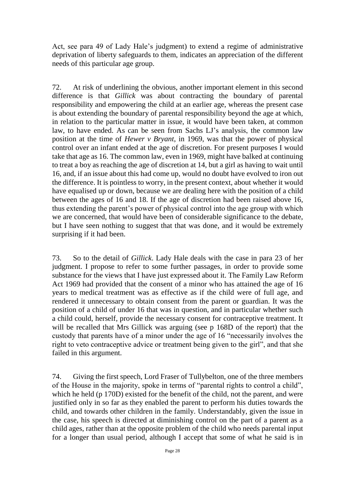Act, see para 49 of Lady Hale's judgment) to extend a regime of administrative deprivation of liberty safeguards to them, indicates an appreciation of the different needs of this particular age group.

72. At risk of underlining the obvious, another important element in this second difference is that *Gillick* was about contracting the boundary of parental responsibility and empowering the child at an earlier age, whereas the present case is about extending the boundary of parental responsibility beyond the age at which, in relation to the particular matter in issue, it would have been taken, at common law, to have ended. As can be seen from Sachs LJ's analysis, the common law position at the time of *Hewer v Bryant*, in 1969, was that the power of physical control over an infant ended at the age of discretion. For present purposes I would take that age as 16. The common law, even in 1969, might have balked at continuing to treat a boy as reaching the age of discretion at 14, but a girl as having to wait until 16, and, if an issue about this had come up, would no doubt have evolved to iron out the difference. It is pointless to worry, in the present context, about whether it would have equalised up or down, because we are dealing here with the position of a child between the ages of 16 and 18. If the age of discretion had been raised above 16, thus extending the parent's power of physical control into the age group with which we are concerned, that would have been of considerable significance to the debate, but I have seen nothing to suggest that that was done, and it would be extremely surprising if it had been.

73. So to the detail of *Gillick*. Lady Hale deals with the case in para 23 of her judgment. I propose to refer to some further passages, in order to provide some substance for the views that I have just expressed about it. The Family Law Reform Act 1969 had provided that the consent of a minor who has attained the age of 16 years to medical treatment was as effective as if the child were of full age, and rendered it unnecessary to obtain consent from the parent or guardian. It was the position of a child of under 16 that was in question, and in particular whether such a child could, herself, provide the necessary consent for contraceptive treatment. It will be recalled that Mrs Gillick was arguing (see p 168D of the report) that the custody that parents have of a minor under the age of 16 "necessarily involves the right to veto contraceptive advice or treatment being given to the girl", and that she failed in this argument.

74. Giving the first speech, Lord Fraser of Tullybelton, one of the three members of the House in the majority, spoke in terms of "parental rights to control a child", which he held (p 170D) existed for the benefit of the child, not the parent, and were justified only in so far as they enabled the parent to perform his duties towards the child, and towards other children in the family. Understandably, given the issue in the case, his speech is directed at diminishing control on the part of a parent as a child ages, rather than at the opposite problem of the child who needs parental input for a longer than usual period, although I accept that some of what he said is in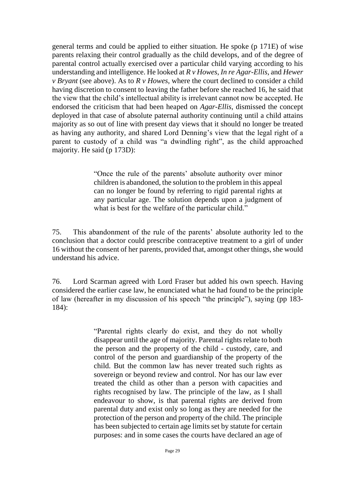general terms and could be applied to either situation. He spoke (p 171E) of wise parents relaxing their control gradually as the child develops, and of the degree of parental control actually exercised over a particular child varying according to his understanding and intelligence. He looked at *R v Howes*, *In re Agar-Ellis*, and *Hewer v Bryant* (see above). As to *R v Howes*, where the court declined to consider a child having discretion to consent to leaving the father before she reached 16, he said that the view that the child's intellectual ability is irrelevant cannot now be accepted. He endorsed the criticism that had been heaped on *Agar-Ellis*, dismissed the concept deployed in that case of absolute paternal authority continuing until a child attains majority as so out of line with present day views that it should no longer be treated as having any authority, and shared Lord Denning's view that the legal right of a parent to custody of a child was "a dwindling right", as the child approached majority. He said (p 173D):

> "Once the rule of the parents' absolute authority over minor children is abandoned, the solution to the problem in this appeal can no longer be found by referring to rigid parental rights at any particular age. The solution depends upon a judgment of what is best for the welfare of the particular child."

75. This abandonment of the rule of the parents' absolute authority led to the conclusion that a doctor could prescribe contraceptive treatment to a girl of under 16 without the consent of her parents, provided that, amongst other things, she would understand his advice.

76. Lord Scarman agreed with Lord Fraser but added his own speech. Having considered the earlier case law, he enunciated what he had found to be the principle of law (hereafter in my discussion of his speech "the principle"), saying (pp 183- 184):

> "Parental rights clearly do exist, and they do not wholly disappear until the age of majority. Parental rights relate to both the person and the property of the child - custody, care, and control of the person and guardianship of the property of the child. But the common law has never treated such rights as sovereign or beyond review and control. Nor has our law ever treated the child as other than a person with capacities and rights recognised by law. The principle of the law, as I shall endeavour to show, is that parental rights are derived from parental duty and exist only so long as they are needed for the protection of the person and property of the child. The principle has been subjected to certain age limits set by statute for certain purposes: and in some cases the courts have declared an age of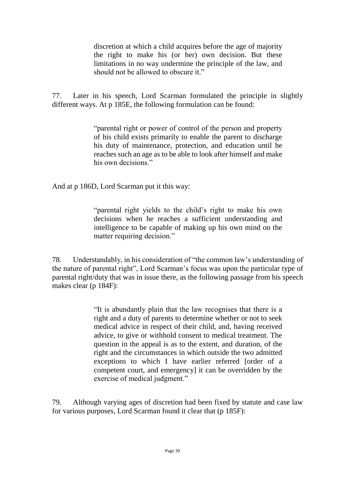discretion at which a child acquires before the age of majority the right to make his (or her) own decision. But these limitations in no way undermine the principle of the law, and should not be allowed to obscure it."

77. Later in his speech, Lord Scarman formulated the principle in slightly different ways. At p 185E, the following formulation can be found:

> "parental right or power of control of the person and property of his child exists primarily to enable the parent to discharge his duty of maintenance, protection, and education until he reaches such an age as to be able to look after himself and make his own decisions"

And at p 186D, Lord Scarman put it this way:

"parental right yields to the child's right to make his own decisions when he reaches a sufficient understanding and intelligence to be capable of making up his own mind on the matter requiring decision."

78. Understandably, in his consideration of "the common law's understanding of the nature of parental right", Lord Scarman's focus was upon the particular type of parental right/duty that was in issue there, as the following passage from his speech makes clear (p 184F):

> "It is abundantly plain that the law recognises that there is a right and a duty of parents to determine whether or not to seek medical advice in respect of their child, and, having received advice, to give or withhold consent to medical treatment. The question in the appeal is as to the extent, and duration, of the right and the circumstances in which outside the two admitted exceptions to which I have earlier referred [order of a competent court, and emergency] it can be overridden by the exercise of medical judgment."

79. Although varying ages of discretion had been fixed by statute and case law for various purposes, Lord Scarman found it clear that (p 185F):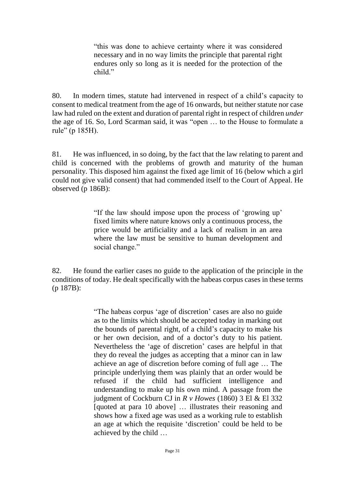"this was done to achieve certainty where it was considered necessary and in no way limits the principle that parental right endures only so long as it is needed for the protection of the child."

80. In modern times, statute had intervened in respect of a child's capacity to consent to medical treatment from the age of 16 onwards, but neither statute nor case law had ruled on the extent and duration of parental right in respect of children *under* the age of 16. So, Lord Scarman said, it was "open … to the House to formulate a rule" (p 185H).

81. He was influenced, in so doing, by the fact that the law relating to parent and child is concerned with the problems of growth and maturity of the human personality. This disposed him against the fixed age limit of 16 (below which a girl could not give valid consent) that had commended itself to the Court of Appeal. He observed (p 186B):

> "If the law should impose upon the process of 'growing up' fixed limits where nature knows only a continuous process, the price would be artificiality and a lack of realism in an area where the law must be sensitive to human development and social change."

82. He found the earlier cases no guide to the application of the principle in the conditions of today. He dealt specifically with the habeas corpus cases in these terms (p 187B):

> "The habeas corpus 'age of discretion' cases are also no guide as to the limits which should be accepted today in marking out the bounds of parental right, of a child's capacity to make his or her own decision, and of a doctor's duty to his patient. Nevertheless the 'age of discretion' cases are helpful in that they do reveal the judges as accepting that a minor can in law achieve an age of discretion before coming of full age … The principle underlying them was plainly that an order would be refused if the child had sufficient intelligence and understanding to make up his own mind. A passage from the judgment of Cockburn CJ in *R v Howes* (1860) 3 El & El 332 [quoted at para 10 above] … illustrates their reasoning and shows how a fixed age was used as a working rule to establish an age at which the requisite 'discretion' could be held to be achieved by the child …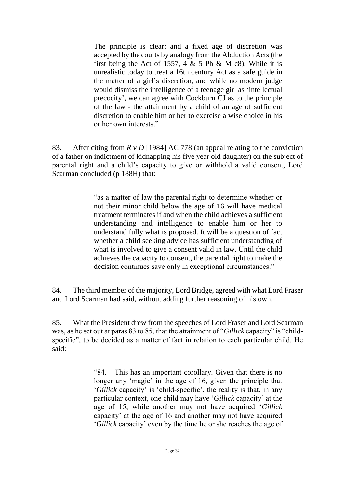The principle is clear: and a fixed age of discretion was accepted by the courts by analogy from the Abduction Acts (the first being the Act of 1557, 4  $\&$  5 Ph  $\&$  M c8). While it is unrealistic today to treat a 16th century Act as a safe guide in the matter of a girl's discretion, and while no modern judge would dismiss the intelligence of a teenage girl as 'intellectual precocity', we can agree with Cockburn CJ as to the principle of the law - the attainment by a child of an age of sufficient discretion to enable him or her to exercise a wise choice in his or her own interests."

83. After citing from *R v D* [1984] AC 778 (an appeal relating to the conviction of a father on indictment of kidnapping his five year old daughter) on the subject of parental right and a child's capacity to give or withhold a valid consent, Lord Scarman concluded (p 188H) that:

> "as a matter of law the parental right to determine whether or not their minor child below the age of 16 will have medical treatment terminates if and when the child achieves a sufficient understanding and intelligence to enable him or her to understand fully what is proposed. It will be a question of fact whether a child seeking advice has sufficient understanding of what is involved to give a consent valid in law. Until the child achieves the capacity to consent, the parental right to make the decision continues save only in exceptional circumstances."

84. The third member of the majority, Lord Bridge, agreed with what Lord Fraser and Lord Scarman had said, without adding further reasoning of his own.

85. What the President drew from the speeches of Lord Fraser and Lord Scarman was, as he set out at paras 83 to 85, that the attainment of "*Gillick* capacity" is "childspecific", to be decided as a matter of fact in relation to each particular child. He said:

> "84. This has an important corollary. Given that there is no longer any 'magic' in the age of 16, given the principle that '*Gillick* capacity' is 'child-specific', the reality is that, in any particular context, one child may have '*Gillick* capacity' at the age of 15, while another may not have acquired '*Gillick* capacity' at the age of 16 and another may not have acquired '*Gillick* capacity' even by the time he or she reaches the age of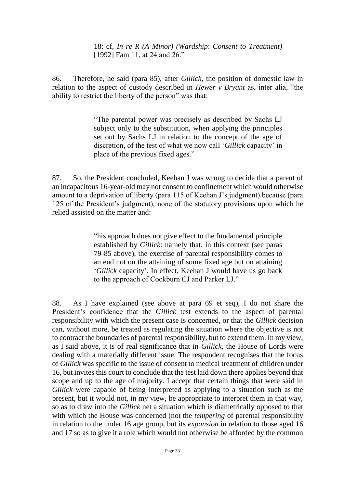18: cf, *In re R (A Minor) (Wardship*: *Consent to Treatment)* [\[1992\] Fam 11,](https://www.lexisnexis.com/uk/legal/search/enhRunRemoteLink.do?linkInfo=F%23GB%23FAM%23sel1%251992%25year%251992%25page%2511%25&A=0.49147776017146194&backKey=20_T28932240727&service=citation&ersKey=23_T28932240717&langcountry=GB) at 24 and 26."

86. Therefore, he said (para 85), after *Gillick*, the position of domestic law in relation to the aspect of custody described in *Hewer v Bryant* as, inter alia, "the ability to restrict the liberty of the person" was that:

> "The parental power was precisely as described by Sachs LJ subject only to the substitution, when applying the principles set out by Sachs LJ in relation to the concept of the age of discretion, of the test of what we now call '*Gillick* capacity' in place of the previous fixed ages."

87. So, the President concluded, Keehan J was wrong to decide that a parent of an incapacitous 16-year-old may not consent to confinement which would otherwise amount to a deprivation of liberty (para 115 of Keehan J's judgment) because (para 125 of the President's judgment), none of the statutory provisions upon which he relied assisted on the matter and:

> "his approach does not give effect to the fundamental principle established by *Gillick*: namely that, in this context (see paras 79-85 above), the exercise of parental responsibility comes to an end not on the attaining of some fixed age but on attaining '*Gillick* capacity'. In effect, Keehan J would have us go back to the approach of Cockburn CJ and Parker LJ."

88. As I have explained (see above at para 69 et seq), I do not share the President's confidence that the *Gillick* test extends to the aspect of parental responsibility with which the present case is concerned, or that the *Gillick* decision can, without more, be treated as regulating the situation where the objective is not to contract the boundaries of parental responsibility, but to extend them. In my view, as I said above, it is of real significance that in *Gillick*, the House of Lords were dealing with a materially different issue. The respondent recognises that the focus of *Gillick* was specific to the issue of consent to medical treatment of children under 16, but invites this court to conclude that the test laid down there applies beyond that scope and up to the age of majority. I accept that certain things that were said in *Gillick* were capable of being interpreted as applying to a situation such as the present, but it would not, in my view, be appropriate to interpret them in that way, so as to draw into the *Gillick* net a situation which is diametrically opposed to that with which the House was concerned (not the *tempering* of parental responsibility in relation to the under 16 age group, but its *expansion* in relation to those aged 16 and 17 so as to give it a role which would not otherwise be afforded by the common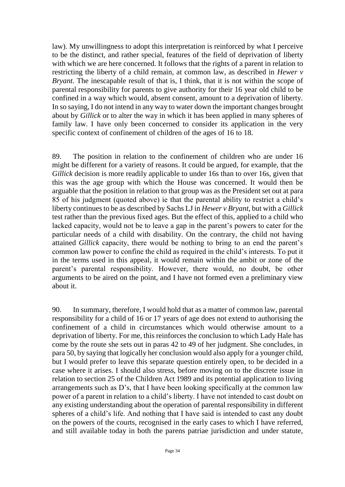law). My unwillingness to adopt this interpretation is reinforced by what I perceive to be the distinct, and rather special, features of the field of deprivation of liberty with which we are here concerned. It follows that the rights of a parent in relation to restricting the liberty of a child remain, at common law, as described in *Hewer v Bryant*. The inescapable result of that is, I think, that it is not within the scope of parental responsibility for parents to give authority for their 16 year old child to be confined in a way which would, absent consent, amount to a deprivation of liberty. In so saying, I do not intend in any way to water down the important changes brought about by *Gillick* or to alter the way in which it has been applied in many spheres of family law. I have only been concerned to consider its application in the very specific context of confinement of children of the ages of 16 to 18.

89. The position in relation to the confinement of children who are under 16 might be different for a variety of reasons. It could be argued, for example, that the *Gillick* decision is more readily applicable to under 16s than to over 16s, given that this was the age group with which the House was concerned. It would then be arguable that the position in relation to that group was as the President set out at para 85 of his judgment (quoted above) ie that the parental ability to restrict a child's liberty continues to be as described by Sachs LJ in *Hewer v Bryant*, but with a *Gillick* test rather than the previous fixed ages. But the effect of this, applied to a child who lacked capacity, would not be to leave a gap in the parent's powers to cater for the particular needs of a child with disability. On the contrary, the child not having attained *Gillick* capacity, there would be nothing to bring to an end the parent's common law power to confine the child as required in the child's interests. To put it in the terms used in this appeal, it would remain within the ambit or zone of the parent's parental responsibility. However, there would, no doubt, be other arguments to be aired on the point, and I have not formed even a preliminary view about it.

90. In summary, therefore, I would hold that as a matter of common law, parental responsibility for a child of 16 or 17 years of age does not extend to authorising the confinement of a child in circumstances which would otherwise amount to a deprivation of liberty. For me, this reinforces the conclusion to which Lady Hale has come by the route she sets out in paras 42 to 49 of her judgment. She concludes, in para 50, by saying that logically her conclusion would also apply for a younger child, but I would prefer to leave this separate question entirely open, to be decided in a case where it arises. I should also stress, before moving on to the discrete issue in relation to section 25 of the Children Act 1989 and its potential application to living arrangements such as D's, that I have been looking specifically at the common law power of a parent in relation to a child's liberty. I have not intended to cast doubt on any existing understanding about the operation of parental responsibility in different spheres of a child's life. And nothing that I have said is intended to cast any doubt on the powers of the courts, recognised in the early cases to which I have referred, and still available today in both the parens patriae jurisdiction and under statute,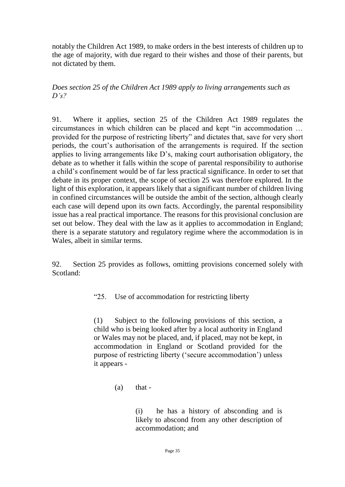notably the Children Act 1989, to make orders in the best interests of children up to the age of majority, with due regard to their wishes and those of their parents, but not dictated by them.

*Does section 25 of the Children Act 1989 apply to living arrangements such as D's?*

91. Where it applies, section 25 of the Children Act 1989 regulates the circumstances in which children can be placed and kept "in accommodation … provided for the purpose of restricting liberty" and dictates that, save for very short periods, the court's authorisation of the arrangements is required. If the section applies to living arrangements like D's, making court authorisation obligatory, the debate as to whether it falls within the scope of parental responsibility to authorise a child's confinement would be of far less practical significance. In order to set that debate in its proper context, the scope of section 25 was therefore explored. In the light of this exploration, it appears likely that a significant number of children living in confined circumstances will be outside the ambit of the section, although clearly each case will depend upon its own facts. Accordingly, the parental responsibility issue has a real practical importance. The reasons for this provisional conclusion are set out below. They deal with the law as it applies to accommodation in England; there is a separate statutory and regulatory regime where the accommodation is in Wales, albeit in similar terms.

92. Section 25 provides as follows, omitting provisions concerned solely with Scotland:

"25. Use of accommodation for restricting liberty

(1) Subject to the following provisions of this section, a child who is being looked after by a local authority in England or Wales may not be placed, and, if placed, may not be kept, in accommodation in England or Scotland provided for the purpose of restricting liberty ('secure accommodation') unless it appears -

(i) he has a history of absconding and is likely to abscond from any other description of accommodation; and

 $(a)$  that -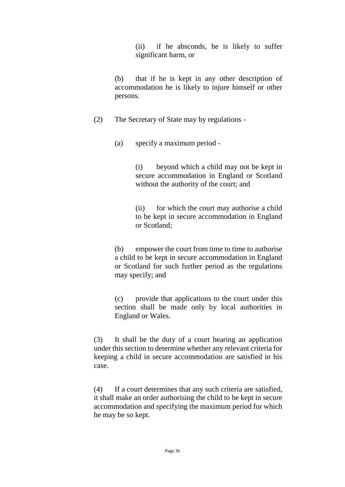(ii) if he absconds, he is likely to suffer significant harm, or

(b) that if he is kept in any other description of accommodation he is likely to injure himself or other persons.

(2) The Secretary of State may by regulations -

(a) specify a maximum period -

(i) beyond which a child may not be kept in secure accommodation in England or Scotland without the authority of the court; and

(ii) for which the court may authorise a child to be kept in secure accommodation in England or Scotland;

(b) empower the court from time to time to authorise a child to be kept in secure accommodation in England or Scotland for such further period as the regulations may specify; and

(c) provide that applications to the court under this section shall be made only by local authorities in England or Wales.

(3) It shall be the duty of a court hearing an application under this section to determine whether any relevant criteria for keeping a child in secure accommodation are satisfied in his case.

(4) If a court determines that any such criteria are satisfied, it shall make an order authorising the child to be kept in secure accommodation and specifying the maximum period for which he may be so kept.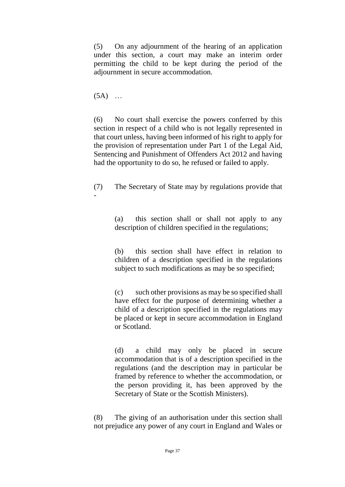(5) On any adjournment of the hearing of an application under this section, a court may make an interim order permitting the child to be kept during the period of the adjournment in secure accommodation.

 $(5A)$  ...

(6) No court shall exercise the powers conferred by this section in respect of a child who is not legally represented in that court unless, having been informed of his right to apply for the provision of representation under Part 1 of the Legal Aid, Sentencing and Punishment of Offenders Act 2012 and having had the opportunity to do so, he refused or failed to apply.

(7) The Secretary of State may by regulations provide that -

> (a) this section shall or shall not apply to any description of children specified in the regulations;

> (b) this section shall have effect in relation to children of a description specified in the regulations subject to such modifications as may be so specified;

> (c) such other provisions as may be so specified shall have effect for the purpose of determining whether a child of a description specified in the regulations may be placed or kept in secure accommodation in England or Scotland.

> (d) a child may only be placed in secure accommodation that is of a description specified in the regulations (and the description may in particular be framed by reference to whether the accommodation, or the person providing it, has been approved by the Secretary of State or the Scottish Ministers).

(8) The giving of an authorisation under this section shall not prejudice any power of any court in England and Wales or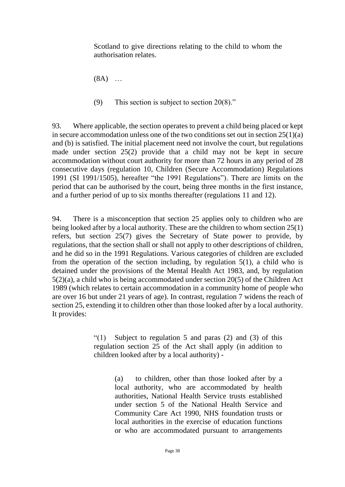Scotland to give directions relating to the child to whom the authorisation relates.

(8A) …

(9) This section is subject to section 20(8)."

93. Where applicable, the section operates to prevent a child being placed or kept in secure accommodation unless one of the two conditions set out in section  $25(1)(a)$ and (b) is satisfied. The initial placement need not involve the court, but regulations made under section 25(2) provide that a child may not be kept in secure accommodation without court authority for more than 72 hours in any period of 28 consecutive days (regulation 10, Children (Secure Accommodation) Regulations 1991 (SI 1991/1505), hereafter "the 1991 Regulations"). There are limits on the period that can be authorised by the court, being three months in the first instance, and a further period of up to six months thereafter (regulations 11 and 12).

94. There is a misconception that section 25 applies only to children who are being looked after by a local authority. These are the children to whom section 25(1) refers, but section 25(7) gives the Secretary of State power to provide, by regulations, that the section shall or shall not apply to other descriptions of children, and he did so in the 1991 Regulations. Various categories of children are excluded from the operation of the section including, by regulation 5(1), a child who is detained under the provisions of the Mental Health Act 1983, and, by regulation 5(2)(a), a child who is being accommodated under section 20(5) of the Children Act 1989 (which relates to certain accommodation in a community home of people who are over 16 but under 21 years of age). In contrast, regulation 7 widens the reach of section 25, extending it to children other than those looked after by a local authority. It provides:

> "(1) Subject to regulation 5 and paras (2) and (3) of this regulation section 25 of the Act shall apply (in addition to children looked after by a local authority) -

> > (a) to children, other than those looked after by a local authority, who are accommodated by health authorities, National Health Service trusts established under section 5 of the National Health Service and Community Care Act 1990, NHS foundation trusts or local authorities in the exercise of education functions or who are accommodated pursuant to arrangements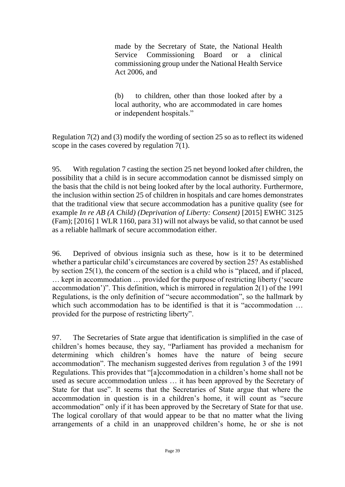made by the Secretary of State, the National Health Service Commissioning Board or a clinical commissioning group under the National Health Service Act 2006, and

(b) to children, other than those looked after by a local authority, who are accommodated in care homes or independent hospitals."

Regulation 7(2) and (3) modify the wording of section 25 so as to reflect its widened scope in the cases covered by regulation 7(1).

95. With regulation 7 casting the section 25 net beyond looked after children, the possibility that a child is in secure accommodation cannot be dismissed simply on the basis that the child is not being looked after by the local authority. Furthermore, the inclusion within section 25 of children in hospitals and care homes demonstrates that the traditional view that secure accommodation has a punitive quality (see for example *In re AB (A Child) (Deprivation of Liberty: Consent)* [2015] EWHC 3125 (Fam); [2016] 1 WLR 1160, para 31) will not always be valid, so that cannot be used as a reliable hallmark of secure accommodation either.

96. Deprived of obvious insignia such as these, how is it to be determined whether a particular child's circumstances are covered by section 25? As established by section 25(1), the concern of the section is a child who is "placed, and if placed, … kept in accommodation … provided for the purpose of restricting liberty ('secure accommodation')". This definition, which is mirrored in regulation 2(1) of the 1991 Regulations, is the only definition of "secure accommodation", so the hallmark by which such accommodation has to be identified is that it is "accommodation ... provided for the purpose of restricting liberty".

97. The Secretaries of State argue that identification is simplified in the case of children's homes because, they say, "Parliament has provided a mechanism for determining which children's homes have the nature of being secure accommodation". The mechanism suggested derives from regulation 3 of the 1991 Regulations. This provides that "[a]ccommodation in a children's home shall not be used as secure accommodation unless … it has been approved by the Secretary of State for that use". It seems that the Secretaries of State argue that where the accommodation in question is in a children's home, it will count as "secure accommodation" only if it has been approved by the Secretary of State for that use. The logical corollary of that would appear to be that no matter what the living arrangements of a child in an unapproved children's home, he or she is not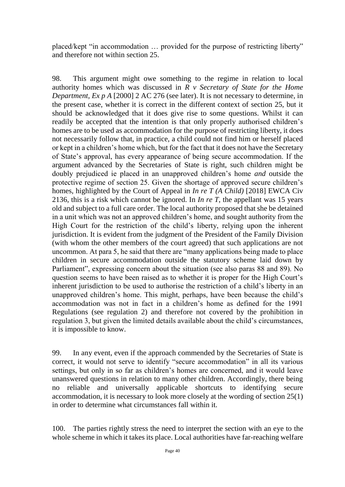placed/kept "in accommodation … provided for the purpose of restricting liberty" and therefore not within section 25.

98. This argument might owe something to the regime in relation to local authority homes which was discussed in *R v Secretary of State for the Home Department, Ex p A* [2000] 2 AC 276 (see later). It is not necessary to determine, in the present case, whether it is correct in the different context of section 25, but it should be acknowledged that it does give rise to some questions. Whilst it can readily be accepted that the intention is that only properly authorised children's homes are to be used as accommodation for the purpose of restricting liberty, it does not necessarily follow that, in practice, a child could not find him or herself placed or kept in a children's home which, but for the fact that it does not have the Secretary of State's approval, has every appearance of being secure accommodation. If the argument advanced by the Secretaries of State is right, such children might be doubly prejudiced ie placed in an unapproved children's home *and* outside the protective regime of section 25. Given the shortage of approved secure children's homes, highlighted by the Court of Appeal in *In re T (A Child)* [2018] EWCA Civ 2136, this is a risk which cannot be ignored. In *In re T*, the appellant was 15 years old and subject to a full care order. The local authority proposed that she be detained in a unit which was not an approved children's home, and sought authority from the High Court for the restriction of the child's liberty, relying upon the inherent jurisdiction. It is evident from the judgment of the President of the Family Division (with whom the other members of the court agreed) that such applications are not uncommon. At para 5, he said that there are "many applications being made to place children in secure accommodation outside the statutory scheme laid down by Parliament", expressing concern about the situation (see also paras 88 and 89). No question seems to have been raised as to whether it is proper for the High Court's inherent jurisdiction to be used to authorise the restriction of a child's liberty in an unapproved children's home. This might, perhaps, have been because the child's accommodation was not in fact in a children's home as defined for the 1991 Regulations (see regulation 2) and therefore not covered by the prohibition in regulation 3, but given the limited details available about the child's circumstances, it is impossible to know.

99. In any event, even if the approach commended by the Secretaries of State is correct, it would not serve to identify "secure accommodation" in all its various settings, but only in so far as children's homes are concerned, and it would leave unanswered questions in relation to many other children. Accordingly, there being no reliable and universally applicable shortcuts to identifying secure accommodation, it is necessary to look more closely at the wording of section 25(1) in order to determine what circumstances fall within it.

100. The parties rightly stress the need to interpret the section with an eye to the whole scheme in which it takes its place. Local authorities have far-reaching welfare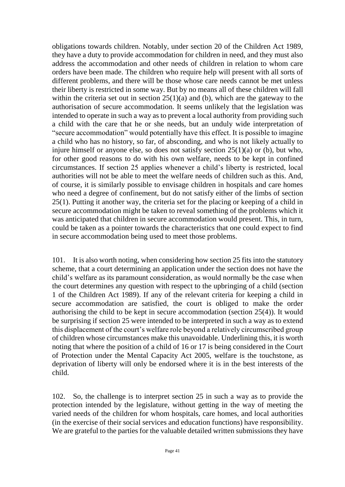obligations towards children. Notably, under section 20 of the Children Act 1989, they have a duty to provide accommodation for children in need, and they must also address the accommodation and other needs of children in relation to whom care orders have been made. The children who require help will present with all sorts of different problems, and there will be those whose care needs cannot be met unless their liberty is restricted in some way. But by no means all of these children will fall within the criteria set out in section  $25(1)(a)$  and (b), which are the gateway to the authorisation of secure accommodation. It seems unlikely that the legislation was intended to operate in such a way as to prevent a local authority from providing such a child with the care that he or she needs, but an unduly wide interpretation of "secure accommodation" would potentially have this effect. It is possible to imagine a child who has no history, so far, of absconding, and who is not likely actually to injure himself or anyone else, so does not satisfy section 25(1)(a) or (b), but who, for other good reasons to do with his own welfare, needs to be kept in confined circumstances. If section 25 applies whenever a child's liberty is restricted, local authorities will not be able to meet the welfare needs of children such as this. And, of course, it is similarly possible to envisage children in hospitals and care homes who need a degree of confinement, but do not satisfy either of the limbs of section 25(1). Putting it another way, the criteria set for the placing or keeping of a child in secure accommodation might be taken to reveal something of the problems which it was anticipated that children in secure accommodation would present. This, in turn, could be taken as a pointer towards the characteristics that one could expect to find in secure accommodation being used to meet those problems.

101. It is also worth noting, when considering how section 25 fits into the statutory scheme, that a court determining an application under the section does not have the child's welfare as its paramount consideration, as would normally be the case when the court determines any question with respect to the upbringing of a child (section 1 of the Children Act 1989). If any of the relevant criteria for keeping a child in secure accommodation are satisfied, the court is obliged to make the order authorising the child to be kept in secure accommodation (section 25(4)). It would be surprising if section 25 were intended to be interpreted in such a way as to extend this displacement of the court's welfare role beyond a relatively circumscribed group of children whose circumstances make this unavoidable. Underlining this, it is worth noting that where the position of a child of 16 or 17 is being considered in the Court of Protection under the Mental Capacity Act 2005, welfare is the touchstone, as deprivation of liberty will only be endorsed where it is in the best interests of the child.

102. So, the challenge is to interpret section 25 in such a way as to provide the protection intended by the legislature, without getting in the way of meeting the varied needs of the children for whom hospitals, care homes, and local authorities (in the exercise of their social services and education functions) have responsibility. We are grateful to the parties for the valuable detailed written submissions they have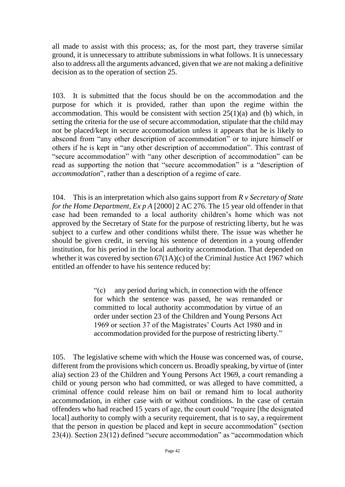all made to assist with this process; as, for the most part, they traverse similar ground, it is unnecessary to attribute submissions in what follows. It is unnecessary also to address all the arguments advanced, given that we are not making a definitive decision as to the operation of section 25.

103. It is submitted that the focus should be on the accommodation and the purpose for which it is provided, rather than upon the regime within the accommodation. This would be consistent with section  $25(1)(a)$  and (b) which, in setting the criteria for the use of secure accommodation, stipulate that the child may not be placed/kept in secure accommodation unless it appears that he is likely to abscond from "any other description of accommodation" or to injure himself or others if he is kept in "any other description of accommodation". This contrast of "secure accommodation" with "any other description of accommodation" can be read as supporting the notion that "secure accommodation" is a "description of *accommodation*", rather than a description of a regime of care.

104. This is an interpretation which also gains support from *R v Secretary of State for the Home Department, Ex p A* [2000] 2 AC 276. The 15 year old offender in that case had been remanded to a local authority children's home which was not approved by the Secretary of State for the purpose of restricting liberty, but he was subject to a curfew and other conditions whilst there. The issue was whether he should be given credit, in serving his sentence of detention in a young offender institution, for his period in the local authority accommodation. That depended on whether it was covered by section  $67(1A)(c)$  of the Criminal Justice Act 1967 which entitled an offender to have his sentence reduced by:

> "(c) any period during which, in connection with the offence for which the sentence was passed, he was remanded or committed to local authority accommodation by virtue of an order under section 23 of the Children and Young Persons Act 1969 or section 37 of the Magistrates' Courts Act 1980 and in accommodation provided for the purpose of restricting liberty."

105. The legislative scheme with which the House was concerned was, of course, different from the provisions which concern us. Broadly speaking, by virtue of (inter alia) section 23 of the Children and Young Persons Act 1969, a court remanding a child or young person who had committed, or was alleged to have committed, a criminal offence could release him on bail or remand him to local authority accommodation, in either case with or without conditions. In the case of certain offenders who had reached 15 years of age, the court could "require [the designated local] authority to comply with a security requirement, that is to say, a requirement that the person in question be placed and kept in secure accommodation" (section 23(4)). Section 23(12) defined "secure accommodation" as "accommodation which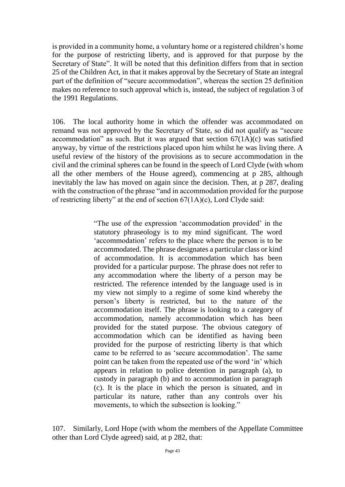is provided in a community home, a voluntary home or a registered children's home for the purpose of restricting liberty, and is approved for that purpose by the Secretary of State". It will be noted that this definition differs from that in section 25 of the Children Act, in that it makes approval by the Secretary of State an integral part of the definition of "secure accommodation", whereas the section 25 definition makes no reference to such approval which is, instead, the subject of regulation 3 of the 1991 Regulations.

106. The local authority home in which the offender was accommodated on remand was not approved by the Secretary of State, so did not qualify as "secure accommodation" as such. But it was argued that section  $67(1A)(c)$  was satisfied anyway, by virtue of the restrictions placed upon him whilst he was living there. A useful review of the history of the provisions as to secure accommodation in the civil and the criminal spheres can be found in the speech of Lord Clyde (with whom all the other members of the House agreed), commencing at p 285, although inevitably the law has moved on again since the decision. Then, at p 287, dealing with the construction of the phrase "and in accommodation provided for the purpose of restricting liberty" at the end of section 67(1A)(c), Lord Clyde said:

> "The use of the expression 'accommodation provided' in the statutory phraseology is to my mind significant. The word 'accommodation' refers to the place where the person is to be accommodated. The phrase designates a particular class or kind of accommodation. It is accommodation which has been provided for a particular purpose. The phrase does not refer to any accommodation where the liberty of a person may be restricted. The reference intended by the language used is in my view not simply to a regime of some kind whereby the person's liberty is restricted, but to the nature of the accommodation itself. The phrase is looking to a category of accommodation, namely accommodation which has been provided for the stated purpose. The obvious category of accommodation which can be identified as having been provided for the purpose of restricting liberty is that which came to be referred to as 'secure accommodation'. The same point can be taken from the repeated use of the word 'in' which appears in relation to police detention in paragraph (a), to custody in paragraph (b) and to accommodation in paragraph (c). It is the place in which the person is situated, and in particular its nature, rather than any controls over his movements, to which the subsection is looking."

107. Similarly, Lord Hope (with whom the members of the Appellate Committee other than Lord Clyde agreed) said, at p 282, that: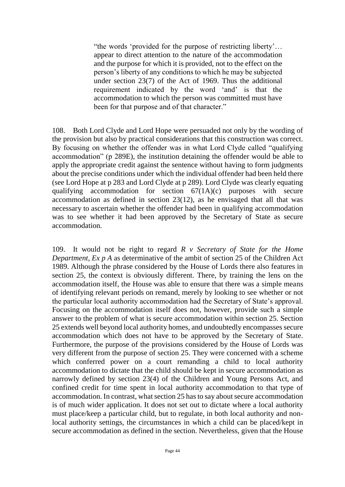"the words 'provided for the purpose of restricting liberty'… appear to direct attention to the nature of the accommodation and the purpose for which it is provided, not to the effect on the person's liberty of any conditions to which he may be subjected under section 23(7) of the Act of 1969. Thus the additional requirement indicated by the word 'and' is that the accommodation to which the person was committed must have been for that purpose and of that character."

108. Both Lord Clyde and Lord Hope were persuaded not only by the wording of the provision but also by practical considerations that this construction was correct. By focusing on whether the offender was in what Lord Clyde called "qualifying accommodation" (p 289E), the institution detaining the offender would be able to apply the appropriate credit against the sentence without having to form judgments about the precise conditions under which the individual offender had been held there (see Lord Hope at p 283 and Lord Clyde at p 289). Lord Clyde was clearly equating qualifying accommodation for section 67(1A)(c) purposes with secure accommodation as defined in section 23(12), as he envisaged that all that was necessary to ascertain whether the offender had been in qualifying accommodation was to see whether it had been approved by the Secretary of State as secure accommodation.

109. It would not be right to regard *R v Secretary of State for the Home Department, Ex p A* as determinative of the ambit of section 25 of the Children Act 1989. Although the phrase considered by the House of Lords there also features in section 25, the context is obviously different. There, by training the lens on the accommodation itself, the House was able to ensure that there was a simple means of identifying relevant periods on remand, merely by looking to see whether or not the particular local authority accommodation had the Secretary of State's approval. Focusing on the accommodation itself does not, however, provide such a simple answer to the problem of what is secure accommodation within section 25. Section 25 extends well beyond local authority homes, and undoubtedly encompasses secure accommodation which does not have to be approved by the Secretary of State. Furthermore, the purpose of the provisions considered by the House of Lords was very different from the purpose of section 25. They were concerned with a scheme which conferred power on a court remanding a child to local authority accommodation to dictate that the child should be kept in secure accommodation as narrowly defined by section 23(4) of the Children and Young Persons Act, and confined credit for time spent in local authority accommodation to that type of accommodation. In contrast, what section 25 has to say about secure accommodation is of much wider application. It does not set out to dictate where a local authority must place/keep a particular child, but to regulate, in both local authority and nonlocal authority settings, the circumstances in which a child can be placed/kept in secure accommodation as defined in the section. Nevertheless, given that the House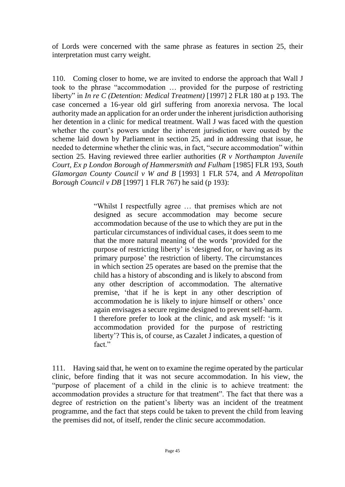of Lords were concerned with the same phrase as features in section 25, their interpretation must carry weight.

110. Coming closer to home, we are invited to endorse the approach that Wall J took to the phrase "accommodation … provided for the purpose of restricting liberty" in *In re C (Detention: Medical Treatment)* [1997] 2 FLR 180 at p 193. The case concerned a 16-year old girl suffering from anorexia nervosa. The local authority made an application for an order under the inherent jurisdiction authorising her detention in a clinic for medical treatment. Wall J was faced with the question whether the court's powers under the inherent jurisdiction were ousted by the scheme laid down by Parliament in section 25, and in addressing that issue, he needed to determine whether the clinic was, in fact, "secure accommodation" within section 25. Having reviewed three earlier authorities (*R v Northampton Juvenile Court, Ex p London Borough of Hammersmith and Fulham* [1985] FLR 193, *South Glamorgan County Council v W and B* [1993] 1 FLR 574, and *A Metropolitan Borough Council v DB* [1997] 1 FLR 767) he said (p 193):

> "Whilst I respectfully agree … that premises which are not designed as secure accommodation may become secure accommodation because of the use to which they are put in the particular circumstances of individual cases, it does seem to me that the more natural meaning of the words 'provided for the purpose of restricting liberty' is 'designed for, or having as its primary purpose' the restriction of liberty. The circumstances in which section 25 operates are based on the premise that the child has a history of absconding and is likely to abscond from any other description of accommodation. The alternative premise, 'that if he is kept in any other description of accommodation he is likely to injure himself or others' once again envisages a secure regime designed to prevent self-harm. I therefore prefer to look at the clinic, and ask myself: 'is it accommodation provided for the purpose of restricting liberty'? This is, of course, as Cazalet J indicates, a question of fact."

111. Having said that, he went on to examine the regime operated by the particular clinic, before finding that it was not secure accommodation. In his view, the "purpose of placement of a child in the clinic is to achieve treatment: the accommodation provides a structure for that treatment". The fact that there was a degree of restriction on the patient's liberty was an incident of the treatment programme, and the fact that steps could be taken to prevent the child from leaving the premises did not, of itself, render the clinic secure accommodation.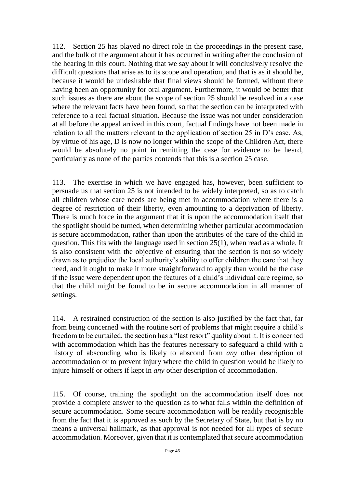112. Section 25 has played no direct role in the proceedings in the present case, and the bulk of the argument about it has occurred in writing after the conclusion of the hearing in this court. Nothing that we say about it will conclusively resolve the difficult questions that arise as to its scope and operation, and that is as it should be, because it would be undesirable that final views should be formed, without there having been an opportunity for oral argument. Furthermore, it would be better that such issues as there are about the scope of section 25 should be resolved in a case where the relevant facts have been found, so that the section can be interpreted with reference to a real factual situation. Because the issue was not under consideration at all before the appeal arrived in this court, factual findings have not been made in relation to all the matters relevant to the application of section 25 in D's case. As, by virtue of his age, D is now no longer within the scope of the Children Act, there would be absolutely no point in remitting the case for evidence to be heard, particularly as none of the parties contends that this is a section 25 case.

113. The exercise in which we have engaged has, however, been sufficient to persuade us that section 25 is not intended to be widely interpreted, so as to catch all children whose care needs are being met in accommodation where there is a degree of restriction of their liberty, even amounting to a deprivation of liberty. There is much force in the argument that it is upon the accommodation itself that the spotlight should be turned, when determining whether particular accommodation is secure accommodation, rather than upon the attributes of the care of the child in question. This fits with the language used in section 25(1), when read as a whole. It is also consistent with the objective of ensuring that the section is not so widely drawn as to prejudice the local authority's ability to offer children the care that they need, and it ought to make it more straightforward to apply than would be the case if the issue were dependent upon the features of a child's individual care regime, so that the child might be found to be in secure accommodation in all manner of settings.

114. A restrained construction of the section is also justified by the fact that, far from being concerned with the routine sort of problems that might require a child's freedom to be curtailed, the section has a "last resort" quality about it. It is concerned with accommodation which has the features necessary to safeguard a child with a history of absconding who is likely to abscond from *any* other description of accommodation or to prevent injury where the child in question would be likely to injure himself or others if kept in *any* other description of accommodation.

115. Of course, training the spotlight on the accommodation itself does not provide a complete answer to the question as to what falls within the definition of secure accommodation. Some secure accommodation will be readily recognisable from the fact that it is approved as such by the Secretary of State, but that is by no means a universal hallmark, as that approval is not needed for all types of secure accommodation. Moreover, given that it is contemplated that secure accommodation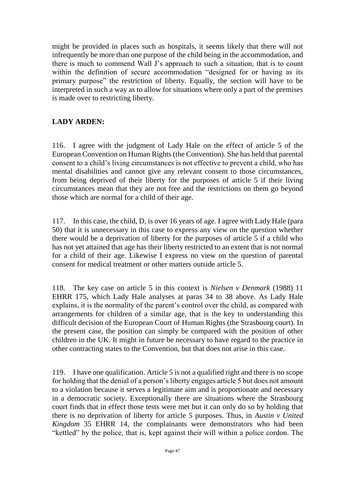might be provided in places such as hospitals, it seems likely that there will not infrequently be more than one purpose of the child being in the accommodation, and there is much to commend Wall J's approach to such a situation, that is to count within the definition of secure accommodation "designed for or having as its primary purpose" the restriction of liberty. Equally, the section will have to be interpreted in such a way as to allow for situations where only a part of the premises is made over to restricting liberty.

## **LADY ARDEN:**

116. I agree with the judgment of Lady Hale on the effect of article 5 of the European Convention on Human Rights (the Convention). She has held that parental consent to a child's living circumstances is not effective to prevent a child, who has mental disabilities and cannot give any relevant consent to those circumstances, from being deprived of their liberty for the purposes of article 5 if their living circumstances mean that they are not free and the restrictions on them go beyond those which are normal for a child of their age.

117. In this case, the child, D, is over 16 years of age. I agree with Lady Hale (para 50) that it is unnecessary in this case to express any view on the question whether there would be a deprivation of liberty for the purposes of article 5 if a child who has not yet attained that age has their liberty restricted to an extent that is not normal for a child of their age. Likewise I express no view on the question of parental consent for medical treatment or other matters outside article 5.

118. The key case on article 5 in this context is *Nielsen v Denmark* (1988) 11 EHRR 175, which Lady Hale analyses at paras 34 to 38 above. As Lady Hale explains, it is the normality of the parent's control over the child, as compared with arrangements for children of a similar age, that is the key to understanding this difficult decision of the European Court of Human Rights (the Strasbourg court). In the present case, the position can simply be compared with the position of other children in the UK. It might in future be necessary to have regard to the practice in other contracting states to the Convention, but that does not arise in this case.

119. I have one qualification. Article 5 is not a qualified right and there is no scope for holding that the denial of a person's liberty engages article 5 but does not amount to a violation because it serves a legitimate aim and is proportionate and necessary in a democratic society. Exceptionally there are situations where the Strasbourg court finds that in effect those tests were met but it can only do so by holding that there is no deprivation of liberty for article 5 purposes. Thus, in *Austin v United Kingdom* 35 EHRR 14, the complainants were demonstrators who had been "kettled" by the police, that is, kept against their will within a police cordon. The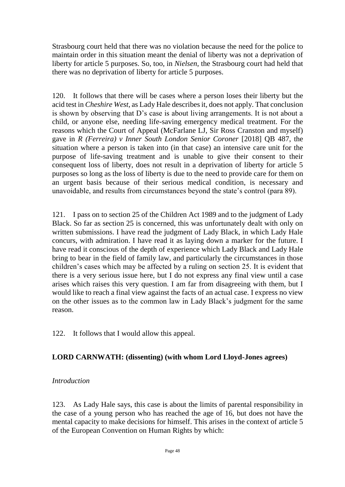Strasbourg court held that there was no violation because the need for the police to maintain order in this situation meant the denial of liberty was not a deprivation of liberty for article 5 purposes. So, too, in *Nielsen*, the Strasbourg court had held that there was no deprivation of liberty for article 5 purposes.

120. It follows that there will be cases where a person loses their liberty but the acid test in *Cheshire West*, as Lady Hale describesit*,* does not apply. That conclusion is shown by observing that D's case is about living arrangements. It is not about a child, or anyone else, needing life-saving emergency medical treatment. For the reasons which the Court of Appeal (McFarlane LJ, Sir Ross Cranston and myself) gave in *R (Ferreira) v Inner South London Senior Coroner* [2018] QB 487, the situation where a person is taken into (in that case) an intensive care unit for the purpose of life-saving treatment and is unable to give their consent to their consequent loss of liberty, does not result in a deprivation of liberty for article 5 purposes so long as the loss of liberty is due to the need to provide care for them on an urgent basis because of their serious medical condition, is necessary and unavoidable, and results from circumstances beyond the state's control (para 89).

121. I pass on to section 25 of the Children Act 1989 and to the judgment of Lady Black. So far as section 25 is concerned, this was unfortunately dealt with only on written submissions. I have read the judgment of Lady Black, in which Lady Hale concurs, with admiration. I have read it as laying down a marker for the future. I have read it conscious of the depth of experience which Lady Black and Lady Hale bring to bear in the field of family law, and particularly the circumstances in those children's cases which may be affected by a ruling on section 25. It is evident that there is a very serious issue here, but I do not express any final view until a case arises which raises this very question. I am far from disagreeing with them, but I would like to reach a final view against the facts of an actual case. I express no view on the other issues as to the common law in Lady Black's judgment for the same reason.

122. It follows that I would allow this appeal.

## **LORD CARNWATH: (dissenting) (with whom Lord Lloyd-Jones agrees)**

## *Introduction*

123. As Lady Hale says, this case is about the limits of parental responsibility in the case of a young person who has reached the age of 16, but does not have the mental capacity to make decisions for himself. This arises in the context of article 5 of the European Convention on Human Rights by which: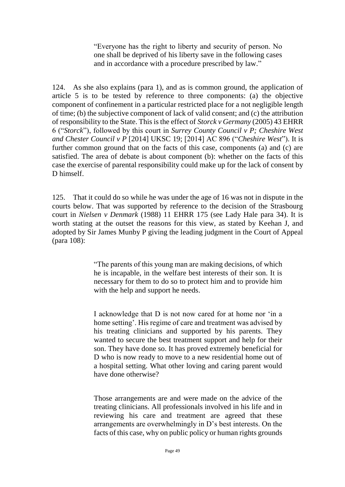"Everyone has the right to liberty and security of person. No one shall be deprived of his liberty save in the following cases and in accordance with a procedure prescribed by law."

124. As she also explains (para 1), and as is common ground, the application of article 5 is to be tested by reference to three components: (a) the objective component of confinement in a particular restricted place for a not negligible length of time; (b) the subjective component of lack of valid consent; and (c) the attribution of responsibility to the State. This is the effect of *Storck v Germany* (2005) 43 EHRR 6 ("*Storck*"), followed by this court in *Surrey County Council v P; Cheshire West and Chester Council v P* [2014] UKSC 19; [2014] AC 896 ("*Cheshire West*"). It is further common ground that on the facts of this case, components (a) and (c) are satisfied. The area of debate is about component (b): whether on the facts of this case the exercise of parental responsibility could make up for the lack of consent by D himself.

125. That it could do so while he was under the age of 16 was not in dispute in the courts below. That was supported by reference to the decision of the Strasbourg court in *Nielsen v Denmark* (1988) 11 EHRR 175 (see Lady Hale para 34). It is worth stating at the outset the reasons for this view, as stated by Keehan J, and adopted by Sir James Munby P giving the leading judgment in the Court of Appeal (para 108):

> "The parents of this young man are making decisions, of which he is incapable, in the welfare best interests of their son. It is necessary for them to do so to protect him and to provide him with the help and support he needs.

> I acknowledge that D is not now cared for at home nor 'in a home setting'. His regime of care and treatment was advised by his treating clinicians and supported by his parents. They wanted to secure the best treatment support and help for their son. They have done so. It has proved extremely beneficial for D who is now ready to move to a new residential home out of a hospital setting. What other loving and caring parent would have done otherwise?

> Those arrangements are and were made on the advice of the treating clinicians. All professionals involved in his life and in reviewing his care and treatment are agreed that these arrangements are overwhelmingly in D's best interests. On the facts of this case, why on public policy or human rights grounds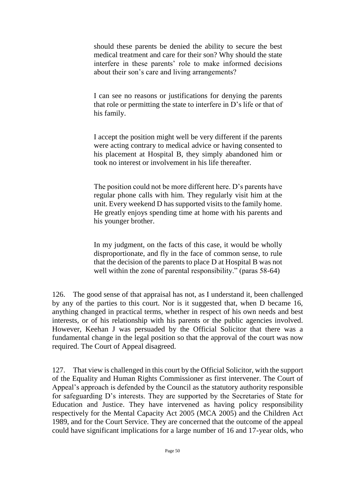should these parents be denied the ability to secure the best medical treatment and care for their son? Why should the state interfere in these parents' role to make informed decisions about their son's care and living arrangements?

I can see no reasons or justifications for denying the parents that role or permitting the state to interfere in D's life or that of his family.

I accept the position might well be very different if the parents were acting contrary to medical advice or having consented to his placement at Hospital B, they simply abandoned him or took no interest or involvement in his life thereafter.

The position could not be more different here. D's parents have regular phone calls with him. They regularly visit him at the unit. Every weekend D has supported visits to the family home. He greatly enjoys spending time at home with his parents and his younger brother.

In my judgment, on the facts of this case, it would be wholly disproportionate, and fly in the face of common sense, to rule that the decision of the parents to place D at Hospital B was not well within the zone of parental responsibility." (paras 58-64)

126. The good sense of that appraisal has not, as I understand it, been challenged by any of the parties to this court. Nor is it suggested that, when D became 16, anything changed in practical terms, whether in respect of his own needs and best interests, or of his relationship with his parents or the public agencies involved. However, Keehan J was persuaded by the Official Solicitor that there was a fundamental change in the legal position so that the approval of the court was now required. The Court of Appeal disagreed.

127. That view is challenged in this court by the Official Solicitor, with the support of the Equality and Human Rights Commissioner as first intervener. The Court of Appeal's approach is defended by the Council as the statutory authority responsible for safeguarding D's interests. They are supported by the Secretaries of State for Education and Justice. They have intervened as having policy responsibility respectively for the Mental Capacity Act 2005 (MCA 2005) and the Children Act 1989, and for the Court Service. They are concerned that the outcome of the appeal could have significant implications for a large number of 16 and 17-year olds, who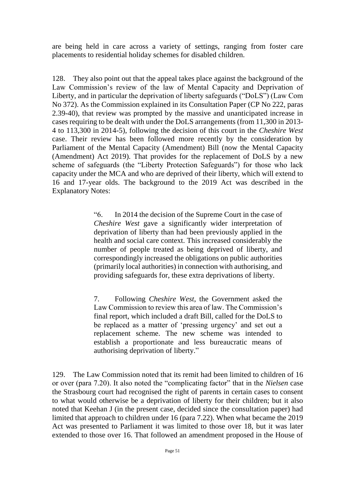are being held in care across a variety of settings, ranging from foster care placements to residential holiday schemes for disabled children.

128. They also point out that the appeal takes place against the background of the Law Commission's review of the law of Mental Capacity and Deprivation of Liberty, and in particular the deprivation of liberty safeguards ("DoLS") (Law Com No 372). As the Commission explained in its Consultation Paper (CP No 222, paras 2.39-40), that review was prompted by the massive and unanticipated increase in cases requiring to be dealt with under the DoLS arrangements (from 11,300 in 2013- 4 to 113,300 in 2014-5), following the decision of this court in the *Cheshire West* case. Their review has been followed more recently by the consideration by Parliament of the Mental Capacity (Amendment) Bill (now the Mental Capacity (Amendment) Act 2019). That provides for the replacement of DoLS by a new scheme of safeguards (the "Liberty Protection Safeguards") for those who lack capacity under the MCA and who are deprived of their liberty, which will extend to 16 and 17-year olds. The background to the 2019 Act was described in the Explanatory Notes:

> "6. In 2014 the decision of the Supreme Court in the case of *Cheshire West* gave a significantly wider interpretation of deprivation of liberty than had been previously applied in the health and social care context. This increased considerably the number of people treated as being deprived of liberty, and correspondingly increased the obligations on public authorities (primarily local authorities) in connection with authorising, and providing safeguards for, these extra deprivations of liberty.

> 7. Following *Cheshire West*, the Government asked the Law Commission to review this area of law. The Commission's final report, which included a draft Bill, called for the DoLS to be replaced as a matter of 'pressing urgency' and set out a replacement scheme. The new scheme was intended to establish a proportionate and less bureaucratic means of authorising deprivation of liberty."

129. The Law Commission noted that its remit had been limited to children of 16 or over (para 7.20). It also noted the "complicating factor" that in the *Nielsen* case the Strasbourg court had recognised the right of parents in certain cases to consent to what would otherwise be a deprivation of liberty for their children; but it also noted that Keehan J (in the present case, decided since the consultation paper) had limited that approach to children under 16 (para 7.22). When what became the 2019 Act was presented to Parliament it was limited to those over 18, but it was later extended to those over 16. That followed an amendment proposed in the House of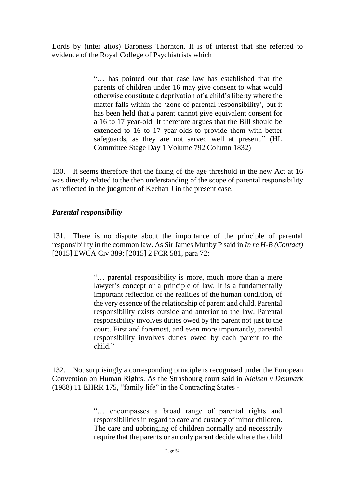Lords by (inter alios) Baroness Thornton. It is of interest that she referred to evidence of the Royal College of Psychiatrists which

> "… has pointed out that case law has established that the parents of children under 16 may give consent to what would otherwise constitute a deprivation of a child's liberty where the matter falls within the 'zone of parental responsibility', but it has been held that a parent cannot give equivalent consent for a 16 to 17 year-old. It therefore argues that the Bill should be extended to 16 to 17 year-olds to provide them with better safeguards, as they are not served well at present." (HL Committee Stage Day 1 Volume 792 Column 1832)

130. It seems therefore that the fixing of the age threshold in the new Act at 16 was directly related to the then understanding of the scope of parental responsibility as reflected in the judgment of Keehan J in the present case.

## *Parental responsibility*

131. There is no dispute about the importance of the principle of parental responsibility in the common law. As Sir James Munby P said in *In re H-B (Contact)* [2015] EWCA Civ 389; [2015] 2 FCR 581, para 72:

> "… parental responsibility is more, much more than a mere lawyer's concept or a principle of law. It is a fundamentally important reflection of the realities of the human condition, of the very essence of the relationship of parent and child. Parental responsibility exists outside and anterior to the law. Parental responsibility involves duties owed by the parent not just to the court. First and foremost, and even more importantly, parental responsibility involves duties owed by each parent to the child"

132. Not surprisingly a corresponding principle is recognised under the European Convention on Human Rights. As the Strasbourg court said in *Nielsen v Denmark*  (1988) 11 EHRR 175, "family life" in the Contracting States -

> "… encompasses a broad range of parental rights and responsibilities in regard to care and custody of minor children. The care and upbringing of children normally and necessarily require that the parents or an only parent decide where the child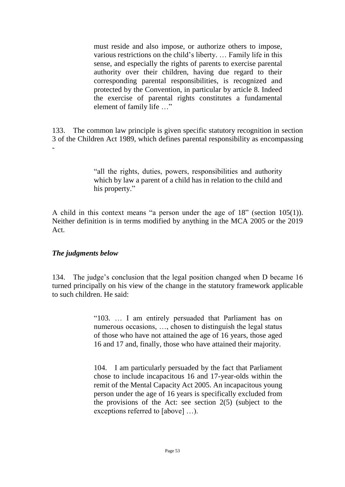must reside and also impose, or authorize others to impose, various restrictions on the child's liberty. … Family life in this sense, and especially the rights of parents to exercise parental authority over their children, having due regard to their corresponding parental responsibilities, is recognized and protected by the Convention, in particular by article 8. Indeed the exercise of parental rights constitutes a fundamental element of family life …"

133. The common law principle is given specific statutory recognition in section 3 of the Children Act 1989, which defines parental responsibility as encompassing -

> "all the rights, duties, powers, responsibilities and authority which by law a parent of a child has in relation to the child and his property."

A child in this context means "a person under the age of 18" (section 105(1)). Neither definition is in terms modified by anything in the MCA 2005 or the 2019 Act.

## *The judgments below*

134. The judge's conclusion that the legal position changed when D became 16 turned principally on his view of the change in the statutory framework applicable to such children. He said:

> "103. … I am entirely persuaded that Parliament has on numerous occasions, …, chosen to distinguish the legal status of those who have not attained the age of 16 years, those aged 16 and 17 and, finally, those who have attained their majority.

> 104. I am particularly persuaded by the fact that Parliament chose to include incapacitous 16 and 17-year-olds within the remit of the Mental Capacity Act 2005. An incapacitous young person under the age of 16 years is specifically excluded from the provisions of the Act: see section 2(5) (subject to the exceptions referred to [above] …).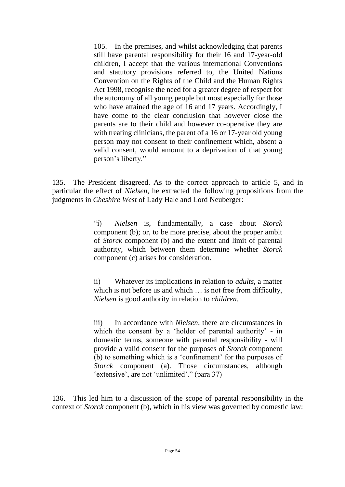105. In the premises, and whilst acknowledging that parents still have parental responsibility for their 16 and 17-year-old children, I accept that the various international Conventions and statutory provisions referred to, the United Nations Convention on the Rights of the Child and the Human Rights Act 1998, recognise the need for a greater degree of respect for the autonomy of all young people but most especially for those who have attained the age of 16 and 17 years. Accordingly, I have come to the clear conclusion that however close the parents are to their child and however co-operative they are with treating clinicians, the parent of a 16 or 17-year old young person may not consent to their confinement which, absent a valid consent, would amount to a deprivation of that young person's liberty."

135. The President disagreed. As to the correct approach to article 5, and in particular the effect of *Nielsen*, he extracted the following propositions from the judgments in *Cheshire West* of Lady Hale and Lord Neuberger:

> "i) *Nielsen* is, fundamentally, a case about *Storck* component (b); or, to be more precise, about the proper ambit of *Storck* component (b) and the extent and limit of parental authority, which between them determine whether *Storck* component (c) arises for consideration.

> ii) Whatever its implications in relation to *adults*, a matter which is not before us and which  $\ldots$  is not free from difficulty, *Nielsen* is good authority in relation to *children*.

> iii) In accordance with *Nielsen*, there are circumstances in which the consent by a 'holder of parental authority' - in domestic terms, someone with parental responsibility - will provide a valid consent for the purposes of *Storck* component (b) to something which is a 'confinement' for the purposes of *Storck* component (a). Those circumstances, although 'extensive', are not 'unlimited'." (para 37)

136. This led him to a discussion of the scope of parental responsibility in the context of *Storck* component (b), which in his view was governed by domestic law: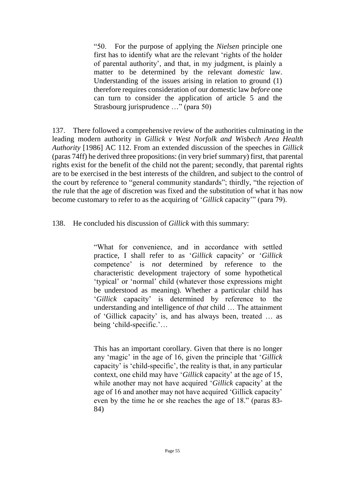"50. For the purpose of applying the *Nielsen* principle one first has to identify what are the relevant 'rights of the holder of parental authority', and that, in my judgment, is plainly a matter to be determined by the relevant *domestic* law. Understanding of the issues arising in relation to ground (1) therefore requires consideration of our domestic law *before* one can turn to consider the application of article 5 and the Strasbourg jurisprudence …" (para 50)

137. There followed a comprehensive review of the authorities culminating in the leading modern authority in *Gillick v West Norfolk and Wisbech Area Health Authority* [1986] AC 112. From an extended discussion of the speeches in *Gillick*  (paras 74ff) he derived three propositions: (in very brief summary) first, that parental rights exist for the benefit of the child not the parent; secondly, that parental rights are to be exercised in the best interests of the children, and subject to the control of the court by reference to "general community standards"; thirdly, "the rejection of the rule that the age of discretion was fixed and the substitution of what it has now become customary to refer to as the acquiring of '*Gillick* capacity'" (para 79).

138. He concluded his discussion of *Gillick* with this summary:

"What for convenience, and in accordance with settled practice, I shall refer to as '*Gillick* capacity' or '*Gillick* competence' is *not* determined by reference to the characteristic development trajectory of some hypothetical 'typical' or 'normal' child (whatever those expressions might be understood as meaning). Whether a particular child has '*Gillick* capacity' is determined by reference to the understanding and intelligence of *that* child … The attainment of 'Gillick capacity' is, and has always been, treated … as being 'child-specific.'…

This has an important corollary. Given that there is no longer any 'magic' in the age of 16, given the principle that '*Gillick* capacity' is 'child-specific', the reality is that, in any particular context, one child may have '*Gillick* capacity' at the age of 15, while another may not have acquired '*Gillick* capacity' at the age of 16 and another may not have acquired 'Gillick capacity' even by the time he or she reaches the age of 18." (paras 83- 84)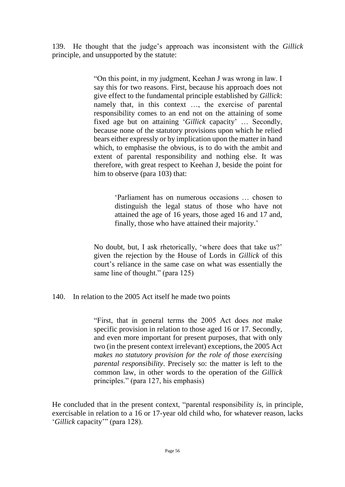139. He thought that the judge's approach was inconsistent with the *Gillick*  principle, and unsupported by the statute:

> "On this point, in my judgment, Keehan J was wrong in law. I say this for two reasons. First, because his approach does not give effect to the fundamental principle established by *Gillick*: namely that, in this context …, the exercise of parental responsibility comes to an end not on the attaining of some fixed age but on attaining '*Gillick* capacity' … Secondly, because none of the statutory provisions upon which he relied bears either expressly or by implication upon the matter in hand which, to emphasise the obvious, is to do with the ambit and extent of parental responsibility and nothing else. It was therefore, with great respect to Keehan J, beside the point for him to observe (para 103) that:

> > 'Parliament has on numerous occasions … chosen to distinguish the legal status of those who have not attained the age of 16 years, those aged 16 and 17 and, finally, those who have attained their majority.'

No doubt, but, I ask rhetorically, 'where does that take us?' given the rejection by the House of Lords in *Gillick* of this court's reliance in the same case on what was essentially the same line of thought." (para 125)

140. In relation to the 2005 Act itself he made two points

"First, that in general terms the 2005 Act does *not* make specific provision in relation to those aged 16 or 17. Secondly, and even more important for present purposes, that with only two (in the present context irrelevant) exceptions, the 2005 Act *makes no statutory provision for the role of those exercising parental responsibility*. Precisely so: the matter is left to the common law, in other words to the operation of the *Gillick* principles." (para 127, his emphasis)

He concluded that in the present context, "parental responsibility *is*, in principle, exercisable in relation to a 16 or 17-year old child who, for whatever reason, lacks '*Gillick* capacity'" (para 128).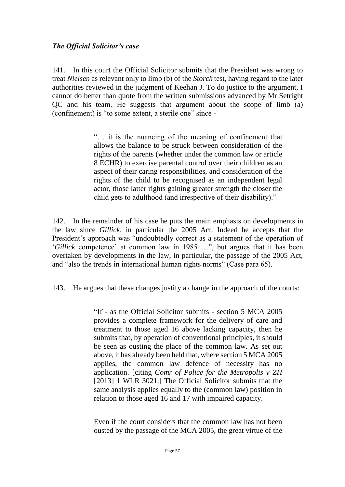## *The Official Solicitor's case*

141. In this court the Official Solicitor submits that the President was wrong to treat *Nielsen* as relevant only to limb (b) of the *Storck* test, having regard to the later authorities reviewed in the judgment of Keehan J. To do justice to the argument, I cannot do better than quote from the written submissions advanced by Mr Setright QC and his team. He suggests that argument about the scope of limb (a) (confinement) is "to some extent, a sterile one" since -

> "… it is the nuancing of the meaning of confinement that allows the balance to be struck between consideration of the rights of the parents (whether under the common law or article 8 ECHR) to exercise parental control over their children as an aspect of their caring responsibilities, and consideration of the rights of the child to be recognised as an independent legal actor, those latter rights gaining greater strength the closer the child gets to adulthood (and irrespective of their disability)."

142. In the remainder of his case he puts the main emphasis on developments in the law since *Gillick*, in particular the 2005 Act*.* Indeed he accepts that the President's approach was "undoubtedly correct as a statement of the operation of '*Gillick* competence' at common law in 1985 …", but argues that it has been overtaken by developments in the law, in particular, the passage of the 2005 Act, and "also the trends in international human rights norms" (Case para 65).

143. He argues that these changes justify a change in the approach of the courts:

"If - as the Official Solicitor submits - section 5 MCA 2005 provides a complete framework for the delivery of care and treatment to those aged 16 above lacking capacity, then he submits that, by operation of conventional principles, it should be seen as ousting the place of the common law. As set out above, it has already been held that, where section 5 MCA 2005 applies, the common law defence of necessity has no application. [citing *Comr of Police for the Metropolis v ZH* [2013] 1 WLR 3021.] The Official Solicitor submits that the same analysis applies equally to the (common law) position in relation to those aged 16 and 17 with impaired capacity.

Even if the court considers that the common law has not been ousted by the passage of the MCA 2005, the great virtue of the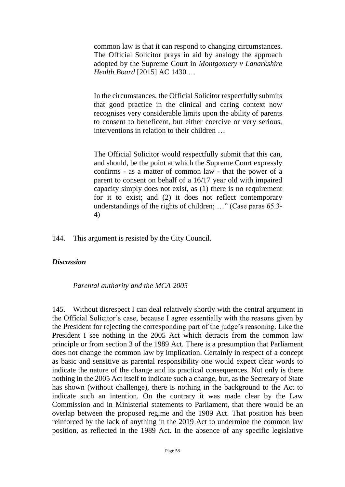common law is that it can respond to changing circumstances. The Official Solicitor prays in aid by analogy the approach adopted by the Supreme Court in *Montgomery v Lanarkshire Health Board* [2015] AC 1430 …

In the circumstances, the Official Solicitor respectfully submits that good practice in the clinical and caring context now recognises very considerable limits upon the ability of parents to consent to beneficent, but either coercive or very serious, interventions in relation to their children …

The Official Solicitor would respectfully submit that this can, and should, be the point at which the Supreme Court expressly confirms - as a matter of common law - that the power of a parent to consent on behalf of a 16/17 year old with impaired capacity simply does not exist, as (1) there is no requirement for it to exist; and (2) it does not reflect contemporary understandings of the rights of children; …" (Case paras 65.3- 4)

144. This argument is resisted by the City Council.

#### *Discussion*

*Parental authority and the MCA 2005*

145. Without disrespect I can deal relatively shortly with the central argument in the Official Solicitor's case, because I agree essentially with the reasons given by the President for rejecting the corresponding part of the judge's reasoning. Like the President I see nothing in the 2005 Act which detracts from the common law principle or from section 3 of the 1989 Act. There is a presumption that Parliament does not change the common law by implication. Certainly in respect of a concept as basic and sensitive as parental responsibility one would expect clear words to indicate the nature of the change and its practical consequences. Not only is there nothing in the 2005 Act itself to indicate such a change, but, as the Secretary of State has shown (without challenge), there is nothing in the background to the Act to indicate such an intention. On the contrary it was made clear by the Law Commission and in Ministerial statements to Parliament, that there would be an overlap between the proposed regime and the 1989 Act. That position has been reinforced by the lack of anything in the 2019 Act to undermine the common law position, as reflected in the 1989 Act. In the absence of any specific legislative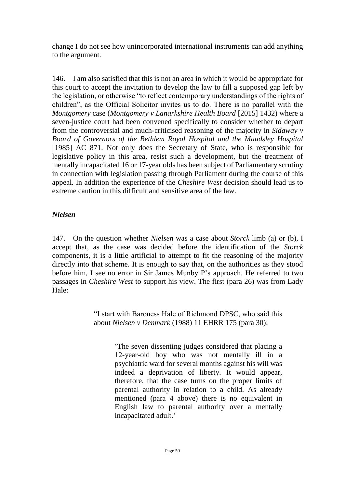change I do not see how unincorporated international instruments can add anything to the argument.

146. I am also satisfied that this is not an area in which it would be appropriate for this court to accept the invitation to develop the law to fill a supposed gap left by the legislation, or otherwise "to reflect contemporary understandings of the rights of children", as the Official Solicitor invites us to do. There is no parallel with the *Montgomery* case (*Montgomery v Lanarkshire Health Board* [2015] 1432) where a seven-justice court had been convened specifically to consider whether to depart from the controversial and much-criticised reasoning of the majority in *Sidaway v Board of Governors of the Bethlem Royal Hospital and the Maudsley Hospital* [1985] AC 871. Not only does the Secretary of State, who is responsible for legislative policy in this area, resist such a development, but the treatment of mentally incapacitated 16 or 17-year olds has been subject of Parliamentary scrutiny in connection with legislation passing through Parliament during the course of this appeal. In addition the experience of the *Cheshire West* decision should lead us to extreme caution in this difficult and sensitive area of the law.

## *Nielsen*

147. On the question whether *Nielsen* was a case about *Storck* limb (a) or (b), I accept that, as the case was decided before the identification of the *Storck* components, it is a little artificial to attempt to fit the reasoning of the majority directly into that scheme. It is enough to say that, on the authorities as they stood before him, I see no error in Sir James Munby P's approach. He referred to two passages in *Cheshire West* to support his view. The first (para 26) was from Lady Hale:

> "I start with Baroness Hale of Richmond DPSC, who said this about *Nielsen v Denmark* (1988) 11 EHRR 175 (para 30):

> > 'The seven dissenting judges considered that placing a 12-year-old boy who was not mentally ill in a psychiatric ward for several months against his will was indeed a deprivation of liberty. It would appear, therefore, that the case turns on the proper limits of parental authority in relation to a child. As already mentioned (para 4 above) there is no equivalent in English law to parental authority over a mentally incapacitated adult.'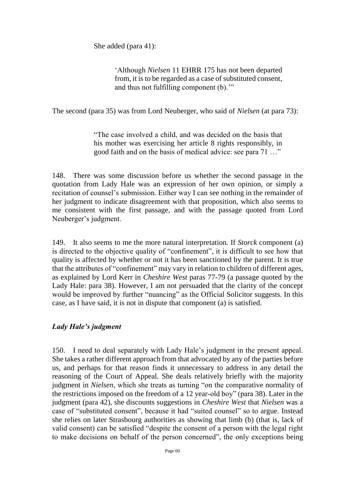She added (para 41):

'Although *Nielsen* 11 EHRR 175 has not been departed from, it is to be regarded as a case of substituted consent, and thus not fulfilling component (b).'"

The second (para 35) was from Lord Neuberger, who said of *Nielsen* (at para 73):

"The case involved a child, and was decided on the basis that his mother was exercising her article 8 rights responsibly, in good faith and on the basis of medical advice: see para 71 …"

148. There was some discussion before us whether the second passage in the quotation from Lady Hale was an expression of her own opinion, or simply a recitation of counsel's submission. Either way I can see nothing in the remainder of her judgment to indicate disagreement with that proposition, which also seems to me consistent with the first passage, and with the passage quoted from Lord Neuberger's judgment.

149. It also seems to me the more natural interpretation. If *Storck* component (a) is directed to the objective quality of "confinement", it is difficult to see how that quality is affected by whether or not it has been sanctioned by the parent. It is true that the attributes of "confinement" may vary in relation to children of different ages, as explained by Lord Kerr in *Cheshire West* paras 77-79 (a passage quoted by the Lady Hale: para 38). However, I am not persuaded that the clarity of the concept would be improved by further "nuancing" as the Official Solicitor suggests. In this case, as I have said, it is not in dispute that component (a) is satisfied.

## *Lady Hale's judgment*

150. I need to deal separately with Lady Hale's judgment in the present appeal. She takes a rather different approach from that advocated by any of the parties before us, and perhaps for that reason finds it unnecessary to address in any detail the reasoning of the Court of Appeal. She deals relatively briefly with the majority judgment in *Nielsen*, which she treats as turning "on the comparative normality of the restrictions imposed on the freedom of a 12 year-old boy" (para 38). Later in the judgment (para 42), she discounts suggestions in *Cheshire West* that *Nielsen* was a case of "substituted consent", because it had "suited counsel" so to argue. Instead she relies on later Strasbourg authorities as showing that limb (b) (that is, lack of valid consent) can be satisfied "despite the consent of a person with the legal right to make decisions on behalf of the person concerned", the only exceptions being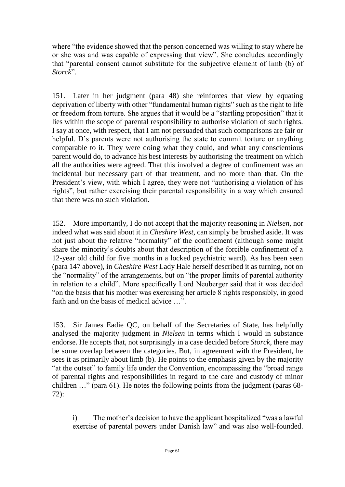where "the evidence showed that the person concerned was willing to stay where he or she was and was capable of expressing that view". She concludes accordingly that "parental consent cannot substitute for the subjective element of limb (b) of *Storck*"*.*

151. Later in her judgment (para 48) she reinforces that view by equating deprivation of liberty with other "fundamental human rights" such as the right to life or freedom from torture. She argues that it would be a "startling proposition" that it lies within the scope of parental responsibility to authorise violation of such rights. I say at once, with respect, that I am not persuaded that such comparisons are fair or helpful. D's parents were not authorising the state to commit torture or anything comparable to it. They were doing what they could, and what any conscientious parent would do, to advance his best interests by authorising the treatment on which all the authorities were agreed. That this involved a degree of confinement was an incidental but necessary part of that treatment, and no more than that. On the President's view, with which I agree, they were not "authorising a violation of his rights", but rather exercising their parental responsibility in a way which ensured that there was no such violation.

152. More importantly, I do not accept that the majority reasoning in *Nielsen*, nor indeed what was said about it in *Cheshire West*, can simply be brushed aside. It was not just about the relative "normality" of the confinement (although some might share the minority's doubts about that description of the forcible confinement of a 12-year old child for five months in a locked psychiatric ward). As has been seen (para 147 above), in *Cheshire West* Lady Hale herself described it as turning, not on the "normality" of the arrangements, but on "the proper limits of parental authority in relation to a child". More specifically Lord Neuberger said that it was decided "on the basis that his mother was exercising her article 8 rights responsibly, in good faith and on the basis of medical advice …".

153. Sir James Eadie QC, on behalf of the Secretaries of State, has helpfully analysed the majority judgment in *Nielsen* in terms which I would in substance endorse. He accepts that, not surprisingly in a case decided before *Storck*, there may be some overlap between the categories. But, in agreement with the President, he sees it as primarily about limb (b). He points to the emphasis given by the majority "at the outset" to family life under the Convention, encompassing the "broad range of parental rights and responsibilities in regard to the care and custody of minor children …" (para 61). He notes the following points from the judgment (paras 68- 72):

i) The mother's decision to have the applicant hospitalized "was a lawful exercise of parental powers under Danish law" and was also well-founded.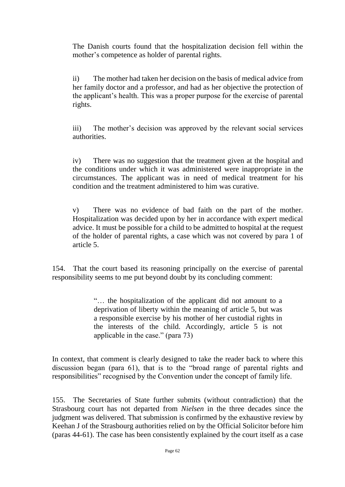The Danish courts found that the hospitalization decision fell within the mother's competence as holder of parental rights.

ii) The mother had taken her decision on the basis of medical advice from her family doctor and a professor, and had as her objective the protection of the applicant's health. This was a proper purpose for the exercise of parental rights.

iii) The mother's decision was approved by the relevant social services authorities.

iv) There was no suggestion that the treatment given at the hospital and the conditions under which it was administered were inappropriate in the circumstances. The applicant was in need of medical treatment for his condition and the treatment administered to him was curative.

v) There was no evidence of bad faith on the part of the mother. Hospitalization was decided upon by her in accordance with expert medical advice. It must be possible for a child to be admitted to hospital at the request of the holder of parental rights, a case which was not covered by para 1 of article 5.

154. That the court based its reasoning principally on the exercise of parental responsibility seems to me put beyond doubt by its concluding comment:

> "… the hospitalization of the applicant did not amount to a deprivation of liberty within the meaning of article 5, but was a responsible exercise by his mother of her custodial rights in the interests of the child. Accordingly, article 5 is not applicable in the case." (para 73)

In context, that comment is clearly designed to take the reader back to where this discussion began (para 61), that is to the "broad range of parental rights and responsibilities" recognised by the Convention under the concept of family life.

155. The Secretaries of State further submits (without contradiction) that the Strasbourg court has not departed from *Nielsen* in the three decades since the judgment was delivered. That submission is confirmed by the exhaustive review by Keehan J of the Strasbourg authorities relied on by the Official Solicitor before him (paras 44-61). The case has been consistently explained by the court itself as a case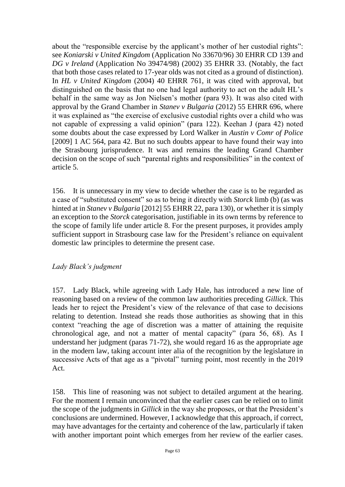about the "responsible exercise by the applicant's mother of her custodial rights": see *Koniarski v United Kingdom* (Application No 33670/96) 30 EHRR CD 139 and *DG v Ireland* (Application No 39474/98) (2002) 35 EHRR 33. (Notably, the fact that both those cases related to 17-year olds was not cited as a ground of distinction). In *HL v United Kingdom* (2004) 40 EHRR 761, it was cited with approval, but distinguished on the basis that no one had legal authority to act on the adult HL's behalf in the same way as Jon Nielsen's mother (para 93). It was also cited with approval by the Grand Chamber in *Stanev v Bulgaria* (2012) 55 EHRR 696, where it was explained as "the exercise of exclusive custodial rights over a child who was not capable of expressing a valid opinion" (para 122). Keehan J (para 42) noted some doubts about the case expressed by Lord Walker in *Austin v Comr of Police*  [2009] 1 AC 564, para 42. But no such doubts appear to have found their way into the Strasbourg jurisprudence. It was and remains the leading Grand Chamber decision on the scope of such "parental rights and responsibilities" in the context of article 5.

156. It is unnecessary in my view to decide whether the case is to be regarded as a case of "substituted consent" so as to bring it directly with *Storck* limb (b) (as was hinted at in *Stanev v Bulgaria* [2012] 55 EHRR 22, para 130), or whether it is simply an exception to the *Storck* categorisation, justifiable in its own terms by reference to the scope of family life under article 8. For the present purposes, it provides amply sufficient support in Strasbourg case law for the President's reliance on equivalent domestic law principles to determine the present case.

## *Lady Black's judgment*

157. Lady Black, while agreeing with Lady Hale, has introduced a new line of reasoning based on a review of the common law authorities preceding *Gillick*. This leads her to reject the President's view of the relevance of that case to decisions relating to detention. Instead she reads those authorities as showing that in this context "reaching the age of discretion was a matter of attaining the requisite chronological age, and not a matter of mental capacity" (para 56, 68). As I understand her judgment (paras 71-72), she would regard 16 as the appropriate age in the modern law, taking account inter alia of the recognition by the legislature in successive Acts of that age as a "pivotal" turning point, most recently in the 2019 Act.

158. This line of reasoning was not subject to detailed argument at the hearing. For the moment I remain unconvinced that the earlier cases can be relied on to limit the scope of the judgments in *Gillick* in the way she proposes, or that the President's conclusions are undermined. However, I acknowledge that this approach, if correct, may have advantages for the certainty and coherence of the law, particularly if taken with another important point which emerges from her review of the earlier cases.